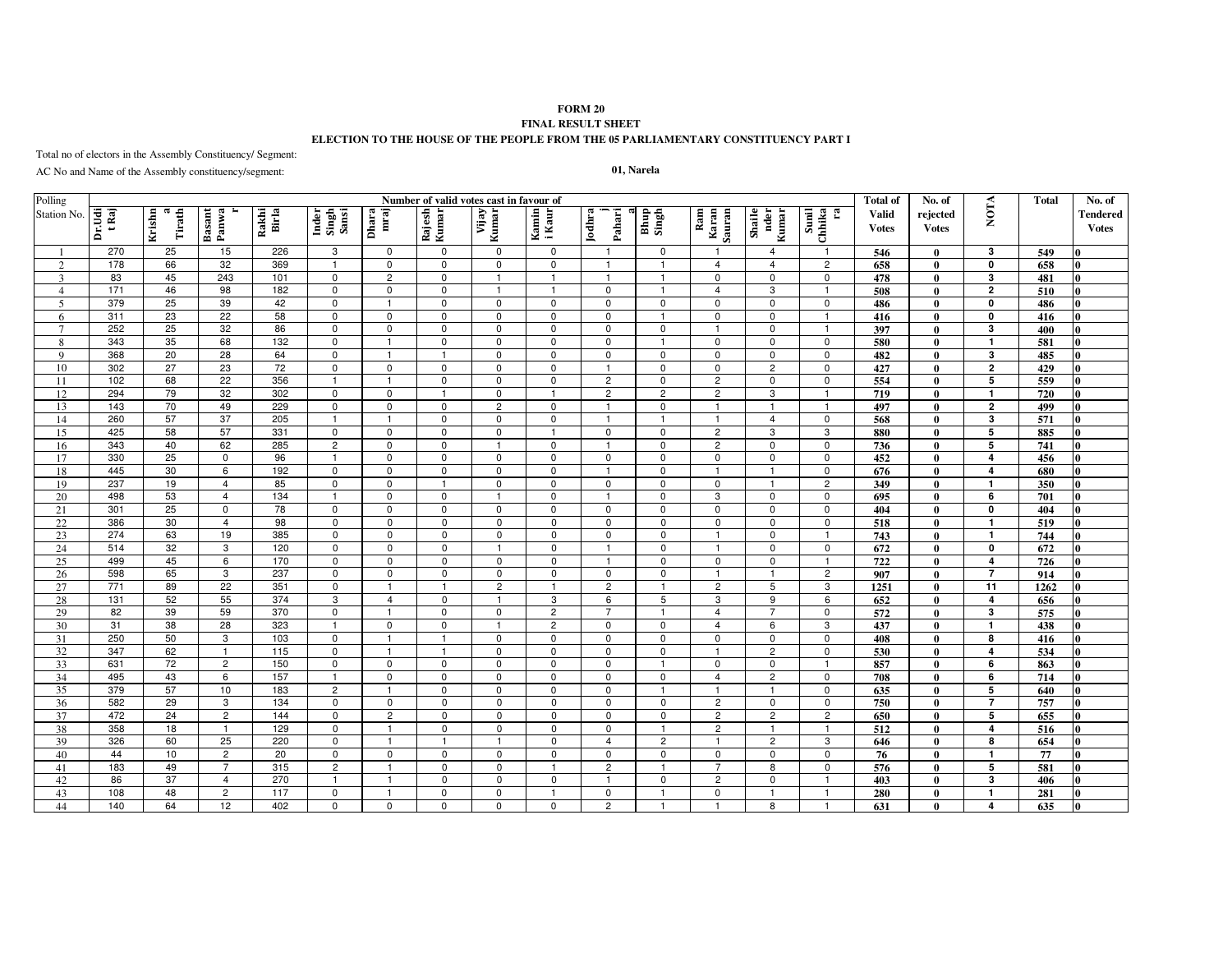## **FORM 20 FINAL RESULT SHEET ELECTION TO THE HOUSE OF THE PEOPLE FROM THE 05 PARLIAMENTARY CONSTITUENCY PART I**

Total no of electors in the Assembly Constituency/ Segment:

AC No and Name of the Assembly constituency/segment:

## **01, Narela**

| Polling        | Number of valid votes cast in favour of |                       |                 |                 |                         |                |                            |                               |                         |                                  |                |                         |                         |                                  | <b>Total of</b>              | No. of                   |                                | Total      | No. of                          |
|----------------|-----------------------------------------|-----------------------|-----------------|-----------------|-------------------------|----------------|----------------------------|-------------------------------|-------------------------|----------------------------------|----------------|-------------------------|-------------------------|----------------------------------|------------------------------|--------------------------|--------------------------------|------------|---------------------------------|
| Station No.    | Dr.Udi<br>t Raj                         | Krishn<br>ಡ<br>Tirath | Basant<br>Panwa | Rakhi<br>Birla  | Inder<br>Singh<br>Sansi | mraj<br>Dhara  | Rajesh<br>Kumar            | Vijay<br>Kumar                | Kamin<br>i Kaur         | Jodhra<br>Pahari                 | Bhup<br>Singh  | Ram<br>Karan<br>Sauran  | Shaile<br>nder<br>Kumar | Sunil<br>Chhika<br>E,            | <b>Valid</b><br><b>Votes</b> | rejected<br><b>Votes</b> | <b>NOTA</b>                    |            | <b>Tendered</b><br><b>Votes</b> |
|                | 270                                     | 25                    | 15              | 226             | 3                       | 0              | 0                          | $\mathbf 0$                   | $\mathbf 0$             | -1                               | $\mathbf 0$    | $\overline{\mathbf{1}}$ | $\overline{4}$          | $\overline{1}$                   | 546                          | $\theta$                 | 3                              | 549        |                                 |
| $\overline{2}$ | 178                                     | 66                    | 32              | 369             | $\overline{1}$          | $\mathbf 0$    | $\mathbf 0$                | $\mathbf 0$                   | $\mathbf 0$             | $\overline{\mathbf{1}}$          | $\overline{1}$ | $\overline{4}$          | $\overline{4}$          | $\overline{2}$                   | 658                          | $\theta$                 | $\mathbf 0$                    | 658        | n                               |
| 3              | 83                                      | 45                    | 243             | 101             | $\mathbf 0$             | $\overline{2}$ | $\mathbf 0$                |                               | $\overline{\mathbf{1}}$ |                                  | $\overline{1}$ | $\mathbf 0$             | $\mathbf 0$             | $\mathbf 0$                      | 478                          | 0                        | 3                              | 481        | n                               |
| $\overline{4}$ | 171                                     | 46                    | 98              | 182             | $\mathbf 0$             | $\mathbf 0$    | $\mathbf 0$                |                               |                         | $\mathbf 0$                      |                | $\overline{4}$          | 3                       | $\overline{\mathbf{1}}$          | 508                          | $\mathbf{0}$             | $\overline{2}$                 | 510        | n                               |
| 5              | 379                                     | 25                    | 39              | 42              | $\pmb{0}$               |                | $\mathsf 0$                | $\mathbf 0$                   | $\mathbf 0$             | $\mathsf 0$                      | $\mathbf 0$    | 0                       | $\mathbf 0$             | $\mathsf 0$                      | 486                          | $\mathbf{0}$             | $\mathbf 0$                    | 486        | $\bf{0}$                        |
| 6              | 311                                     | 23                    | 22              | 58              | $\mathbf 0$             | $\mathsf 0$    | $\mathbf 0$                | $\mathbf 0$                   | $\mathbf 0$             | $\mathbf 0$                      | $\mathbf{1}$   | $\mathbf 0$             | $\mathbf 0$             | $\overline{1}$                   | 416                          | $\mathbf{0}$             | $\mathbf 0$                    | 416        | $\mathbf{0}$                    |
| $\overline{7}$ | 252                                     | 25                    | 32              | 86              | $\mathbf 0$             | $\mathsf 0$    | $\mathbf 0$                | $\mathbf 0$                   | $\mathbf 0$             | $\mathbf 0$                      | $\mathbf 0$    | $\overline{1}$          | $\mathbf 0$             | $\mathbf{1}$                     | 397                          | $\mathbf{0}$             | 3                              | 400        | n                               |
| 8              | 343                                     | 35                    | 68              | 132             | $\mathbf 0$             | $\overline{1}$ | $\mathsf 0$                | $\mathbf 0$                   | $\mathbf 0$             | $\mathbf 0$                      | $\mathbf{1}$   | $\mathbf 0$             | $\mathbf 0$             | $\mathsf 0$                      | 580                          | $\bf{0}$                 | $\mathbf{1}$                   | 581        | n                               |
| 9              | 368                                     | 20                    | 28              | 64              | $\mathbf 0$             | $\mathbf{1}$   | $\overline{1}$             | $\mathbf 0$                   | $\mathbf 0$             | $\mathbf 0$                      | $\mathbf 0$    | $\mathbf 0$             | $\mathbf 0$             | $\mathbf 0$                      | 482                          | $\mathbf{0}$             | 3                              | 485        | n                               |
| 10             | 302                                     | 27                    | 23              | 72              | $\mathbf 0$             | $\mathsf 0$    | $\mathbf 0$                | $\mathbf 0$                   | $\Omega$                | $\overline{1}$                   | $\mathbf 0$    | $\mathbf 0$             | $\overline{2}$          | $\mathbf 0$                      | 427                          | $\theta$                 | $\overline{2}$                 | 429        | n                               |
| 11             | 102                                     | 68                    | 22              | 356             | $\mathbf{1}$            | $\mathbf{1}$   | $\mathbf 0$                | $\mathbf 0$                   | $\mathbf 0$             | $\overline{c}$                   | $\mathbf 0$    | $\overline{c}$          | $\mathbf 0$             | $\mathbf 0$                      | 554                          | $\theta$                 | 5                              | 559        | n                               |
| 12             | 294                                     | 79                    | 32              | 302<br>229      | $\mathbf 0$             | $\mathbf 0$    | $\overline{1}$             | $\mathbf 0$<br>$\overline{2}$ | $\overline{1}$          | $\overline{2}$<br>$\overline{1}$ | $\overline{c}$ | $\overline{2}$          | 3<br>$\overline{1}$     | $\overline{1}$<br>$\overline{1}$ | 719                          | $\theta$                 | $\mathbf{I}$<br>$\overline{2}$ | 720        | n                               |
| 13             | 143                                     | 70                    | 49              |                 | $\mathbf 0$             | $\mathbf 0$    | $\mathbf 0$                | $\Omega$                      | $\Omega$<br>$\Omega$    |                                  | $\Omega$       | $\overline{1}$          | $\overline{4}$          | $\mathbf 0$                      | 497                          | $\theta$<br>0            | 3                              | 499        | n                               |
| 14<br>15       | 260<br>425                              | 57<br>58              | 37<br>57        | 205<br>331      | $\mathbf 0$             | $\Omega$       | $\mathbf 0$<br>$\mathbf 0$ | $\Omega$                      |                         | $\Omega$                         | $\mathbf 0$    | $\overline{2}$          | 3                       | 3                                | 568<br>880                   | 0                        | 5                              | 571<br>885 | n                               |
| 16             | 343                                     | 40                    | 62              | 285             | $\overline{2}$          | $\mathbf 0$    | $\mathbf 0$                |                               | $\mathbf 0$             | -1                               | $\mathbf 0$    | $\overline{2}$          | $\mathbf 0$             | $\mathbf 0$                      | 736                          | $\mathbf{0}$             | $\overline{5}$                 | 741        | $\mathbf{0}$                    |
| 17             | 330                                     | 25                    | $\mathbf 0$     | 96              | $\overline{\mathbf{1}}$ | $\mathbf 0$    | $\mathbf 0$                | $\mathbf 0$                   | $\mathbf 0$             | $\mathbf 0$                      | $\mathbf 0$    | $\mathbf 0$             | $\mathbf 0$             | $\mathbf 0$                      | 452                          | $\mathbf{0}$             | $\overline{4}$                 | 456        | <sup>0</sup>                    |
| 18             | 445                                     | 30                    | 6               | 192             | $\mathbf 0$             | $\mathbf 0$    | $\mathbf 0$                | $\mathbf 0$                   | $\mathbf 0$             | $\overline{1}$                   | $\mathbf 0$    | $\mathbf{1}$            | $\overline{1}$          | $\mathbf 0$                      | 676                          | $\mathbf{0}$             | $\overline{\mathbf{4}}$        | 680        | 0                               |
| 19             | 237                                     | 19                    | $\overline{4}$  | 85              | $\pmb{0}$               | $\mathbf 0$    | $\overline{1}$             | $\mathbf 0$                   | $\mathbf 0$             | $\mathbf 0$                      | $\mathbf 0$    | $\mathbf 0$             | $\overline{\mathbf{1}}$ | $\overline{c}$                   | 349                          | $\mathbf{0}$             | -1                             | 350        | $\bf{0}$                        |
| 20             | 498                                     | 53                    | $\overline{4}$  | 134             | $\mathbf{1}$            | $\mathsf 0$    | $\mathbf 0$                | $\overline{\mathbf{1}}$       | $\mathbf 0$             | $\overline{1}$                   | $\mathbf 0$    | 3                       | $\mathbf 0$             | $\mathbf 0$                      | 695                          | $\mathbf{0}$             | 6                              | 701        | $\bf{0}$                        |
| 21             | 301                                     | 25                    | $\mathbf 0$     | 78              | $\pmb{0}$               | $\mathbf 0$    | $\mathbf 0$                | $\mathbf 0$                   | $\mathbf 0$             | $\mathbf 0$                      | $\mathbf 0$    | $\mathbf 0$             | $\mathbf 0$             | $\mathbf 0$                      | 404                          | $\mathbf{0}$             | $\mathbf{0}$                   | 404        | l0                              |
| 22             | 386                                     | 30                    | $\overline{4}$  | 98              | $\mathsf 0$             | $\mathsf 0$    | $\mathsf 0$                | $\mathbf 0$                   | $\mathbf 0$             | $\mathbf 0$                      | $\mathbf 0$    | $\mathbf 0$             | $\mathbf 0$             | $\mathsf 0$                      | 518                          | $\mathbf{0}$             | $\mathbf{1}$                   | 519        | $\bf{0}$                        |
| 23             | 274                                     | 63                    | 19              | 385             | $\mathbf 0$             | $\mathbf 0$    | $\mathbf 0$                | $\mathbf 0$                   | $\mathbf 0$             | $\mathbf 0$                      | $\mathbf 0$    | $\overline{1}$          | $\mathbf 0$             | $\overline{1}$                   | 743                          | $\theta$                 | $\overline{\mathbf{1}}$        | 744        | $\bf{0}$                        |
| 24             | 514                                     | 32                    | 3               | 120             | $\mathbf 0$             | $\mathbf 0$    | $\mathbf 0$                | $\overline{1}$                | $\Omega$                | $\overline{1}$                   | $\Omega$       | $\overline{1}$          | $\Omega$                | $\mathbf 0$                      | 672                          | $\theta$                 | $\mathbf{0}$                   | 672        | l0                              |
| 25             | 499                                     | 45                    | 6               | 170             | $\mathbf 0$             | $\mathbf 0$    | $\mathsf 0$                | $\Omega$                      | $\Omega$                | $\overline{1}$                   | $\mathbf 0$    | $\mathbf 0$             | $\mathbf 0$             | $\overline{1}$                   | $\overline{722}$             | 0                        | $\overline{4}$                 | 726        | n                               |
| 26             | 598                                     | 65                    | 3               | 237             | $\mathbf 0$             | $\mathbf 0$    | $\mathbf 0$                | $\Omega$                      | $\mathbf 0$             | $\mathbf 0$                      | $\mathbf 0$    |                         |                         | $\overline{c}$                   | 907                          | $\mathbf{0}$             | $\overline{7}$                 | 914        | <sup>0</sup>                    |
| 27             | 771                                     | 89                    | 22              | 351             | $\pmb{0}$               | $\overline{1}$ | $\overline{1}$             | $\overline{2}$                |                         | $\overline{c}$                   | $\mathbf{1}$   | $\overline{2}$          | 5                       | 3                                | 1251                         | $\mathbf{0}$             | 11                             | 1262       | $\bf{0}$                        |
| 28             | 131                                     | 52                    | 55              | 374             | 3                       | $\overline{4}$ | $\mathbf 0$                | $\overline{1}$                | 3                       | 6                                | 5              | 3                       | 9                       | 6                                | 652                          | $\mathbf{0}$             | $\overline{\mathbf{4}}$        | 656        | <sup>0</sup>                    |
| 29             | 82                                      | 39                    | 59              | 370             | $\mathbf 0$             | $\mathbf{1}$   | $\mathbf 0$                | $\mathbf 0$                   | $\overline{2}$          | $\overline{7}$                   | $\mathbf{1}$   | $\overline{4}$          | $\overline{7}$          | $\mathbf 0$                      | 572                          | $\mathbf{0}$             | 3                              | 575        |                                 |
| 30             | 31                                      | 38                    | 28              | 323             | $\overline{1}$          | $\mathsf 0$    | $\mathsf 0$                | $\overline{1}$                | $\overline{c}$          | $\mathbf 0$                      | $\mathbf 0$    | $\overline{4}$          | 6                       | 3                                | 437                          | $\mathbf{0}$             | $\overline{\mathbf{1}}$        | 438        | n                               |
| 31             | 250                                     | 50                    | 3               | 103             | $\mathbf 0$             | $\overline{1}$ | $\overline{1}$             | $\mathbf 0$                   | $\mathbf 0$             | $\mathbf 0$                      | $\mathbf 0$    | $\mathbf 0$             | $\mathbf 0$             | $\mathbf 0$                      | 408                          | $\mathbf{0}$             | 8                              | 416        | n                               |
| 32             | 347                                     | 62                    | $\overline{1}$  | $\frac{115}{2}$ | $\mathbf 0$             | $\overline{1}$ | $\overline{1}$             | $\mathbf 0$                   | $\mathbf 0$             | $\Omega$                         | $\mathbf 0$    | -1                      | $\overline{2}$          | $\mathbf 0$                      | 530                          | $\theta$                 | $\overline{a}$                 | 534        | n                               |
| 33             | 631                                     | 72                    | $\overline{c}$  | 150             | $\mathbf 0$             | $\mathsf 0$    | $\mathbf 0$                | $\mathbf 0$                   | $\mathbf 0$             | $\mathbf 0$                      | $\mathbf{1}$   | 0                       | $\mathbf 0$             | $\mathbf{1}$                     | 857                          | $\theta$                 | 6                              | 863        | $\mathbf{0}$                    |
| 34             | 495                                     | 43                    | 6               | 157             | $\overline{1}$          | $\mathbf 0$    | $\mathbf 0$                | $\mathbf 0$                   | $\mathbf 0$             | $\mathbf 0$                      | $\mathbf 0$    | $\overline{4}$          | $\overline{c}$          | $\mathbf 0$                      | 708                          | $\theta$                 | 6                              | 714        | l0                              |
| 35             | 379                                     | 57                    | 10 <sup>1</sup> | 183             | $\overline{2}$          | $\overline{1}$ | $\mathbf 0$                | $\mathbf 0$                   | $\mathbf 0$             | $\mathbf 0$                      | $\mathbf{1}$   | $\overline{1}$          | $\overline{1}$          | $\mathbf 0$                      | 635                          | $\mathbf{0}$             | 5                              | 640        | l0                              |
| 36             | 582                                     | 29                    | 3               | 134             | $\mathbf 0$             | $\mathbf 0$    | $\mathsf 0$                | $\Omega$                      | $\mathbf 0$             | $\mathbf 0$                      | $\mathsf 0$    | $\overline{2}$          | $\mathbf 0$             | $\mathbf 0$                      | 750                          | 0                        | $\overline{7}$                 | 757        | $\bf{0}$                        |
| 37             | 472                                     | 24                    | $\overline{c}$  | 144             | $\mathbf 0$             | $\overline{2}$ | $\Omega$                   | $\Omega$                      | $\Omega$                | $\Omega$                         | $\Omega$       | $\overline{c}$          | $\overline{c}$          | $\overline{c}$                   | 650                          | 0                        | 5                              | 655        |                                 |
| 38             | 358                                     | 18                    | $\mathbf{1}$    | 129             | $\overline{0}$          | $\overline{1}$ | $\mathbf 0$                | $\mathbf 0$                   | $\mathbf 0$             | $\mathbf 0$                      | $\mathbf{1}$   | $\overline{2}$          |                         | $\overline{1}$                   | 512                          | $\mathbf{0}$             | $\overline{4}$                 | 516        | $\bf{0}$                        |
| 39             | 326                                     | 60                    | 25              | 220             | $\mathbf 0$             | $\overline{1}$ | $\overline{1}$             | -1                            | $\mathbf 0$             | $\overline{4}$                   | $\overline{c}$ | -1                      | $\overline{c}$          | 3                                | 646                          | $\mathbf{0}$             | 8                              | 654        | 0                               |
| 40             | 44                                      | 10                    | $\overline{2}$  | 20              | $\mathbf 0$             | $\mathbf 0$    | $\mathbf 0$                | $\mathbf 0$                   | $\mathbf 0$             | $\mathbf 0$                      | $\mathbf 0$    | $\mathbf 0$             | $\mathbf 0$             | $\mathbf 0$                      | 76                           | $\mathbf{0}$             | $\mathbf{1}$                   | 77         | $\bf{0}$                        |
| 41             | 183                                     | 49                    | $\overline{7}$  | 315             | $\overline{c}$          | $\overline{1}$ | $\mathsf 0$                | $\mathbf 0$                   | $\overline{\mathbf{1}}$ | $\overline{2}$                   | $\mathbf{1}$   | $\overline{7}$          | 8                       | $\mathsf 0$                      | 576                          | $\mathbf{0}$             | 5                              | 581        | $\bf{0}$                        |
| 42             | 86                                      | 37                    | $\overline{4}$  | 270             | $\mathbf{1}$            | $\overline{1}$ | $\mathbf 0$                | $\mathbf 0$                   | $\mathbf 0$             | $\overline{1}$                   | $\mathbf 0$    | $\overline{2}$          | $\mathbf 0$             | $\mathbf{1}$                     | 403                          | $\mathbf{0}$             | 3                              | 406        | $\mathbf{0}$                    |
| 43             | 108                                     | 48                    | $\overline{c}$  | 117             | $\mathbf 0$             | $\overline{1}$ | $\mathbf 0$                | $\mathbf 0$                   | -1                      | $\mathbf 0$                      | $\mathbf{1}$   | $\mathbf 0$             | -1                      | $\overline{1}$                   | 280                          | $\mathbf{0}$             | -1                             | 281        | l0                              |
| 44             | 140                                     | 64                    | 12              | 402             | $\pmb{0}$               | $\pmb{0}$      | $\mathsf 0$                | 0                             | $\mathbf 0$             | $\overline{2}$                   | $\mathbf{1}$   | $\overline{1}$          | 8                       | $\mathbf{1}$                     | 631                          | $\bf{0}$                 | $\overline{4}$                 | 635        | l0                              |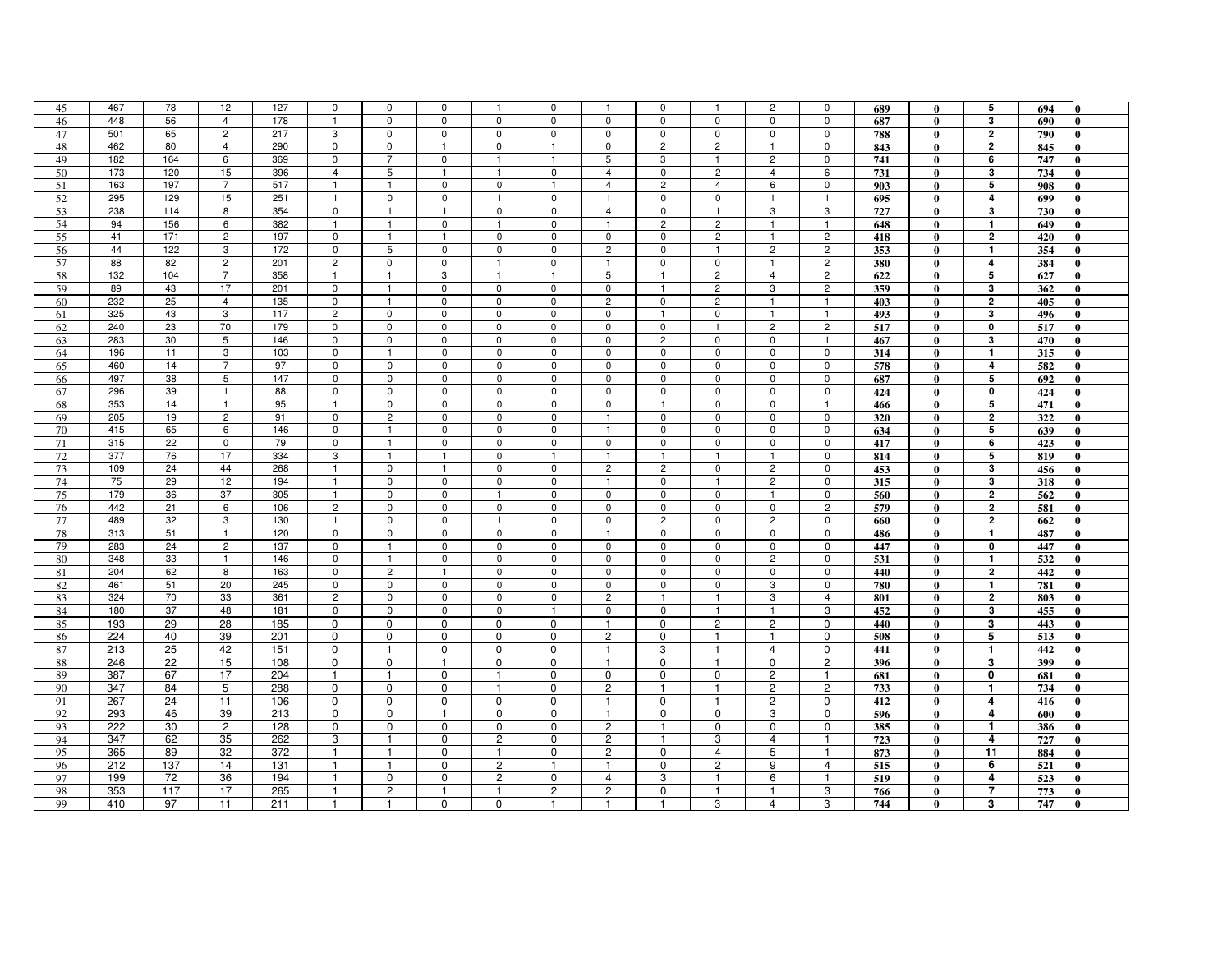| 45 | 467 | 78  | 12             | 127 | 0              | 0              | 0              | $\mathbf{1}$   | 0              | $\mathbf{1}$   | 0              | $\mathbf{1}$   | $\overline{c}$ | 0               | 689 | $\bf{0}$     | 5                       | 694 | 0            |
|----|-----|-----|----------------|-----|----------------|----------------|----------------|----------------|----------------|----------------|----------------|----------------|----------------|-----------------|-----|--------------|-------------------------|-----|--------------|
| 46 | 448 | 56  | $\overline{4}$ | 178 | $\overline{1}$ | $\mathbf 0$    | $\mathbf 0$    | $\mathbf 0$    | $\mathbf 0$    | $\mathbf 0$    | $\mathbf 0$    | $\mathbf 0$    | $\mathsf 0$    | 0               | 687 | $\mathbf{0}$ | 3                       | 690 | 0            |
| 47 | 501 | 65  | $\overline{c}$ | 217 | 3              | $\mathbf 0$    | $\mathbf 0$    | $\mathbf 0$    | $\mathbf 0$    | $\mathbf 0$    | $\mathbf 0$    | $\mathbf 0$    | 0              | $\mathbf 0$     | 788 | $\mathbf{0}$ | $\overline{\mathbf{2}}$ | 790 | 0            |
| 48 | 462 | 80  | $\overline{4}$ | 290 | $\pmb{0}$      | $\mathbf 0$    | $\overline{1}$ | $\mathbf 0$    | $\mathbf{1}$   | $\mathbf 0$    | $\overline{c}$ | $\overline{c}$ | $\overline{1}$ | 0               | 843 | $\bf{0}$     | $\bf{2}$                | 845 | 0            |
| 49 | 182 | 164 | 6              | 369 | $\mathbf 0$    | $\overline{7}$ | $\mathbf 0$    | $\mathbf{1}$   | $\overline{1}$ | 5              | 3              | $\mathbf{1}$   | $\overline{c}$ | $\mathbf 0$     | 741 | $\mathbf{0}$ | 6                       | 747 |              |
| 50 | 173 | 120 | 15             | 396 | 4              | 5              | $\overline{1}$ |                | 0              | $\overline{4}$ | 0              | $\overline{c}$ | 4              | $6\overline{6}$ | 731 | $\bf{0}$     | 3                       | 734 | $\mathbf{0}$ |
| 51 | 163 | 197 | $\overline{7}$ | 517 | $\overline{1}$ | $\overline{1}$ | $\mathbf 0$    | $\mathsf 0$    | $\overline{1}$ | $\overline{4}$ | $\overline{c}$ | $\overline{4}$ | 6              | $\mathbf 0$     | 903 | $\mathbf{0}$ | 5                       | 908 | 0            |
| 52 | 295 | 129 | 15             | 251 | $\overline{1}$ | 0              | $\mathbf 0$    | -1             | $\mathbf 0$    | $\mathbf{1}$   | $\mathbf 0$    | 0              | $\mathbf{1}$   | $\mathbf{1}$    | 695 | $\bf{0}$     | 4                       | 699 | 0            |
| 53 | 238 | 114 | 8              | 354 | $\mathbf 0$    | $\overline{1}$ | $\overline{1}$ | $\mathbf 0$    | $\mathbf 0$    | $\overline{4}$ | $\mathbf 0$    | $\mathbf{1}$   | 3              | 3               | 727 | $\mathbf{0}$ | 3                       | 730 | 0            |
| 54 | 94  | 156 | 6              | 382 | $\overline{1}$ | $\mathbf{1}$   | $\mathsf 0$    | $\mathbf{1}$   | $\mathbf 0$    | $\mathbf{1}$   | $\overline{c}$ | $\overline{2}$ | $\overline{1}$ | $\mathbf{1}$    | 648 | $\mathbf{0}$ | $\mathbf{1}$            | 649 | 0            |
| 55 | 41  | 171 | $\overline{2}$ | 197 | $\mathsf 0$    | $\mathbf{1}$   | $\mathbf{1}$   | $\mathbf 0$    | $\mathbf 0$    | $\mathsf{O}$   | $\mathbf 0$    | $\overline{2}$ | $\overline{1}$ | $\overline{2}$  | 418 | $\bf{0}$     | $\mathbf{2}$            | 420 | $\bf{0}$     |
| 56 | 44  | 122 | 3              | 172 | $\mathbf 0$    | 5              | $\mathbf 0$    | $\mathbf 0$    | 0              | $\overline{c}$ | $\mathbf 0$    | $\mathbf{1}$   | $\overline{c}$ | $\overline{2}$  | 353 | $\bf{0}$     | $\mathbf{1}$            | 354 | 0            |
| 57 | 88  | 82  | $\overline{2}$ | 201 | $\overline{c}$ | $\mathsf 0$    | $\mathsf 0$    | $\mathbf{1}$   | $\mathsf 0$    | $\mathbf{1}$   | $\mathbf 0$    | $\mathbf 0$    | $\overline{1}$ | $\overline{2}$  | 380 | $\mathbf{0}$ | 4                       | 384 |              |
| 58 | 132 | 104 | $\overline{7}$ | 358 | $\overline{1}$ | $\mathbf{1}$   | 3              | $\mathbf{1}$   | $\mathbf{1}$   | 5              | $\mathbf{1}$   | $\overline{2}$ | $\overline{4}$ | $\overline{2}$  | 622 | $\bf{0}$     | 5                       | 627 | 0            |
| 59 | 89  | 43  | 17             | 201 | $\mathbf 0$    | $\mathbf{1}$   | $\mathbf 0$    | $\mathbf 0$    | 0              | $\mathbf 0$    | $\mathbf{1}$   | $\overline{2}$ | 3              | $\overline{2}$  | 359 | $\bf{0}$     | 3                       | 362 |              |
| 60 | 232 | 25  | $\overline{4}$ | 135 | $\mathbf 0$    | $\overline{1}$ | $\mathbf 0$    | $\mathbf 0$    | $\Omega$       | $\overline{c}$ | $\mathbf 0$    | $\overline{2}$ | $\overline{1}$ | $\mathbf{1}$    | 403 | $\mathbf{0}$ | $\overline{\mathbf{2}}$ | 405 |              |
| 61 | 325 | 43  | 3              | 117 | $\overline{c}$ | $\mathsf 0$    | $\mathsf 0$    | $\mathbf 0$    | $\mathsf 0$    | $\mathbf 0$    | $\mathbf{1}$   | $\mathbf 0$    | $\mathbf{1}$   | $\mathbf{1}$    | 493 | $\bf{0}$     | $\bf{3}$                | 496 | $\bf{0}$     |
| 62 | 240 | 23  | 70             | 179 | $\mathbf 0$    | $\mathbf 0$    | $\mathbf 0$    | $\mathbf 0$    | $\mathbf 0$    | $\mathbf 0$    | $\mathbf 0$    | -1             | $\overline{c}$ | $\overline{c}$  | 517 | $\bf{0}$     | $\mathbf 0$             | 517 | 0            |
| 63 | 283 | 30  | 5              | 146 | $\pmb{0}$      | $\mathsf 0$    | $\mathsf 0$    | 0              | 0              | 0              | $\overline{c}$ | $\mathbf 0$    | $\pmb{0}$      | $\mathbf{1}$    | 467 | $\bf{0}$     | $\overline{\mathbf{3}}$ | 470 |              |
| 64 | 196 | 11  | 3              | 103 | $\mathbf 0$    | $\overline{1}$ | $\mathbf 0$    | $\mathbf 0$    | $\mathbf 0$    | $\mathbf 0$    | $\mathbf 0$    | $\mathbf 0$    | $\mathbf 0$    | $\mathbf 0$     | 314 | $\bf{0}$     | $\mathbf{1}$            | 315 | 0            |
| 65 | 460 | 14  | $\overline{7}$ | 97  | $\mathbf 0$    | $\mathbf 0$    | $\mathbf 0$    | 0              | 0              | 0              | 0              | $\mathbf 0$    | 0              | 0               | 578 | $\bf{0}$     | 4                       | 582 | 0            |
| 66 | 497 | 38  | 5              | 147 | $\mathbf 0$    | $\mathbf 0$    | $\mathsf 0$    | $\mathbf 0$    | $\mathbf 0$    | $\mathbf 0$    | $\mathbf 0$    | $\mathbf{0}$   | $\mathbf 0$    | $\mathbf 0$     | 687 | $\mathbf{0}$ | 5                       | 692 |              |
| 67 | 296 | 39  | $\mathbf{1}$   | 88  | $\mathbf 0$    | $\mathbf 0$    | $\mathbf 0$    | $\mathbf 0$    | $\mathbf 0$    | $\mathbf 0$    | $\mathbf 0$    | $\mathbf 0$    | $\mathbf 0$    | $\mathbf 0$     | 424 | $\mathbf{0}$ | $\mathbf 0$             | 424 | 0            |
| 68 | 353 | 14  | $\mathbf{1}$   | 95  | $\mathbf{1}$   | $\mathbf 0$    | $\mathsf 0$    | 0              | $\mathsf 0$    | 0              | $\mathbf{1}$   | 0              | $\pmb{0}$      | $\mathbf{1}$    | 466 | $\bf{0}$     | 5                       | 471 |              |
| 69 | 205 | 19  | $\overline{2}$ | 91  | $\mathbf 0$    | $\overline{2}$ | $\mathbf 0$    | $\mathbf 0$    | 0              | $\mathbf{1}$   | $\mathbf 0$    | $\mathbf 0$    | 0              | $\mathbf 0$     | 320 | $\mathbf{0}$ | $\overline{2}$          | 322 |              |
| 70 | 415 | 65  | 6              | 146 | $\mathbf 0$    | $\mathbf{1}$   | $\pmb{0}$      | $\mathbf 0$    | $\mathbf 0$    | $\overline{1}$ | $\mathbf 0$    | $\mathbf 0$    | $\mathbf 0$    | $\mathbf 0$     | 634 | $\bf{0}$     | 5                       | 639 |              |
| 71 | 315 | 22  | $\mathbf 0$    | 79  | $\mathbf 0$    | $\mathbf{1}$   | $\mathbf 0$    | 0              | 0              | 0              | 0              | 0              | 0              | $\mathbf 0$     | 417 | $\bf{0}$     | 6                       | 423 | O            |
| 72 | 377 | 76  | 17             | 334 | 3              | $\overline{1}$ | $\overline{1}$ | $\mathbf 0$    | $\overline{1}$ | $\mathbf{1}$   | $\mathbf{1}$   | $\mathbf{1}$   | $\mathbf{1}$   | $\mathbf 0$     | 814 | $\bf{0}$     | 5                       | 819 |              |
| 73 | 109 | 24  | 44             | 268 | $\overline{1}$ | $\mathbf 0$    | $\overline{1}$ | $\mathbf 0$    | 0              | $\overline{c}$ | $\overline{2}$ | $\mathbf 0$    | $\overline{c}$ | $\mathbf 0$     | 453 | $\mathbf{0}$ | 3                       | 456 |              |
| 74 | 75  | 29  | 12             | 194 | $\overline{1}$ | $\mathsf 0$    | $\pmb{0}$      | $\mathbf 0$    | $\mathsf 0$    | $\overline{1}$ | $\mathsf 0$    | $\mathbf{1}$   | $\overline{c}$ | $\pmb{0}$       | 315 | $\bf{0}$     | 3                       | 318 |              |
| 75 | 179 | 36  | 37             | 305 | $\overline{1}$ | $\mathbf 0$    | $\mathbf 0$    |                | $\mathbf 0$    | $\mathbf 0$    | 0              | $\mathbf 0$    | $\overline{1}$ | $\mathbf 0$     | 560 | $\mathbf{0}$ | $\overline{2}$          | 562 |              |
| 76 | 442 | 21  | 6              | 106 | $\overline{c}$ | $\mathsf 0$    | $\mathbf 0$    | 0              | 0              | $\mathbf 0$    | $\mathbf 0$    | 0              | 0              | $\overline{2}$  | 579 | $\bf{0}$     | $\mathbf{2}$            | 581 |              |
| 77 | 489 | 32  | 3              | 130 | $\overline{1}$ | $\mathbf 0$    | $\mathsf 0$    | $\mathbf{1}$   | $\mathbf 0$    | $\mathbf 0$    | $\overline{c}$ | 0              | $\overline{c}$ | $\mathbf 0$     | 660 | $\mathbf{0}$ | $\overline{\mathbf{2}}$ | 662 |              |
| 78 | 313 | 51  | $\mathbf{1}$   | 120 | $\mathbf 0$    | 0              | $\mathbf 0$    | 0              | $\mathbf 0$    | -1             | 0              | 0              | $\mathbf 0$    | $\mathbf 0$     | 486 | $\bf{0}$     | $\mathbf{1}$            | 487 | 0            |
| 79 | 283 | 24  | $\overline{c}$ | 137 | $\mathbf 0$    | $\mathbf{1}$   | $\mathbf 0$    | $\mathbf 0$    | $\mathbf 0$    | $\mathbf 0$    | $\mathbf 0$    | $\mathbf 0$    | $\mathbf 0$    | $\mathbf 0$     | 447 | $\mathbf{0}$ | $\mathbf 0$             | 447 |              |
| 80 | 348 | 33  | $\overline{1}$ | 146 | $\mathbf 0$    | $\overline{1}$ | $\mathsf 0$    | 0              | $\mathbf 0$    | 0              | $\mathbf 0$    | 0              | $\overline{c}$ | $\mathbf 0$     | 531 | $\mathbf{0}$ | $\mathbf{1}$            | 532 |              |
| 81 | 204 | 62  | 8              | 163 | $\mathbf 0$    | $\overline{2}$ | $\mathbf{1}$   | $\mathbf 0$    | $\mathbf 0$    | 0              | $\mathbf 0$    | $\mathbf 0$    | $\mathbf 0$    | $\mathbf 0$     | 440 | $\bf{0}$     | $\mathbf{2}$            | 442 | $\bf{0}$     |
| 82 | 461 | 51  | 20             | 245 | $\mathbf 0$    | 0              | $\mathbf 0$    | $\mathbf 0$    | 0              | $\mathbf 0$    | $\mathbf 0$    | $\mathbf 0$    | 3              | $\mathbf 0$     | 780 | $\bf{0}$     | $\mathbf{1}$            | 781 | O            |
| 83 | 324 | 70  | 33             | 361 | $\overline{c}$ | $\mathsf 0$    | $\mathbf 0$    | $\mathbf 0$    | $\mathbf 0$    | $\overline{c}$ | $\overline{1}$ | $\mathbf{1}$   | $\sqrt{3}$     | $\overline{4}$  | 801 | $\mathbf{0}$ | $\overline{2}$          | 803 |              |
| 84 | 180 | 37  | 48             | 181 | $\mathbf 0$    | $\mathbf 0$    | $\mathbf 0$    | $\mathbf 0$    | $\overline{1}$ | $\mathbf 0$    | $\mathbf 0$    | $\overline{1}$ | $\mathbf{1}$   | 3               | 452 | $\bf{0}$     | 3                       | 455 | 0            |
| 85 | 193 | 29  | 28             | 185 | $\mathbf 0$    | $\mathbf 0$    | $\mathbf 0$    | $\mathbf 0$    | $\mathbf 0$    | $\mathbf{1}$   | $\mathbf 0$    | $\mathbf{2}$   | $\overline{c}$ | $\mathbf 0$     | 440 | $\bf{0}$     | 3                       | 443 |              |
| 86 | 224 | 40  | 39             | 201 | $\mathbf 0$    | $\mathbf 0$    | $\mathbf 0$    | $\Omega$       | $\mathbf 0$    | $\overline{c}$ | 0              | $\mathbf{1}$   | $\mathbf{1}$   | $\mathbf 0$     | 508 | $\mathbf{0}$ | 5                       | 513 |              |
| 87 | 213 | 25  | 42             | 151 | $\mathbf 0$    | $\overline{1}$ | $\mathbf 0$    | 0              | $\mathbf 0$    | $\mathbf{1}$   | 3              | $\mathbf{1}$   | $\overline{4}$ | $\mathbf 0$     | 441 | $\bf{0}$     | $\mathbf{1}$            | 442 | 0            |
| 88 | 246 | 22  | 15             | 108 | $\mathbf 0$    | $\mathbf 0$    | $\mathbf{1}$   | 0              | $\mathbf 0$    | -1             | 0              | -1             | $\mathbf 0$    | $\overline{c}$  | 396 | $\bf{0}$     | 3                       | 399 | 0            |
| 89 | 387 | 67  | 17             | 204 | $\mathbf{1}$   | $\mathbf{1}$   | $\pmb{0}$      | $\mathbf{1}$   | $\mathbf 0$    | 0              | 0              | 0              | $\overline{2}$ | $\mathbf{1}$    | 681 | $\bf{0}$     | 0                       | 681 |              |
| 90 | 347 | 84  | 5              | 288 | $\mathbf 0$    | $\mathbf 0$    | $\mathbf 0$    | $\mathbf{1}$   | $\mathbf 0$    | $\overline{2}$ | $\mathbf{1}$   | $\mathbf{1}$   | $\overline{c}$ | $\overline{2}$  | 733 | $\mathbf{0}$ | $\mathbf{1}$            | 734 | <sup>0</sup> |
| 91 | 267 | 24  | 11             | 106 | $\mathbf 0$    | 0              | $\mathbf 0$    | 0              | 0              | -1             | 0              | -1             | $\overline{c}$ | 0               | 412 | $\bf{0}$     | 4                       | 416 | 0            |
| 92 | 293 | 46  | 39             | 213 | $\mathbf 0$    | $\mathbf 0$    | $\mathbf{1}$   | 0              | $\mathbf 0$    | $\mathbf{1}$   | $\mathbf 0$    | $\mathbf 0$    | 3              | $\pmb{0}$       | 596 | $\bf{0}$     | 4                       | 600 |              |
| 93 | 222 | 30  | $\overline{2}$ | 128 | $\mathbf 0$    | $\mathbf 0$    | $\mathbf 0$    | $\mathbf 0$    | $\mathbf 0$    | $\overline{2}$ | $\mathbf{1}$   | $\mathbf 0$    | 0              | 0               | 385 | $\bf{0}$     | $\mathbf{1}$            | 386 | 0            |
| 94 | 347 | 62  | 35             | 262 | 3              | $\mathbf{1}$   | $\mathbf 0$    | $\overline{c}$ | $\mathbf 0$    | $\overline{c}$ | $\mathbf{1}$   | 3              | $\overline{4}$ | $\mathbf{1}$    | 723 | $\bf{0}$     | $\overline{\mathbf{4}}$ | 727 | $\mathbf{0}$ |
| 95 | 365 | 89  | 32             | 372 | $\mathbf{1}$   | $\overline{1}$ | $\mathbf 0$    | $\mathbf{1}$   | $\mathbf 0$    | $\overline{2}$ | $\mathbf 0$    | $\overline{4}$ | 5              | $\mathbf{1}$    | 873 | $\bf{0}$     | 11                      | 884 |              |
| 96 | 212 | 137 | 14             | 131 | $\mathbf{1}$   | $\mathbf{1}$   | $\mathbf 0$    | $\overline{2}$ | $\overline{1}$ | $\mathbf{1}$   | $\mathbf 0$    | $\overline{c}$ | 9              | $\overline{4}$  | 515 | $\bf{0}$     | 6                       | 521 | $\mathbf{0}$ |
| 97 | 199 | 72  | 36             | 194 | -1             | $\mathbf 0$    | $\mathbf 0$    | $\overline{c}$ | $\mathbf 0$    | $\overline{4}$ | 3              | -1             | 6              | $\mathbf{1}$    | 519 | $\bf{0}$     | 4                       | 523 |              |
| 98 | 353 | 117 | 17             | 265 | -1             | $\overline{2}$ | $\mathbf{1}$   |                | $\overline{c}$ | $\overline{c}$ | $\mathbf 0$    | -1             |                | 3               | 766 | $\bf{0}$     | $\overline{7}$          | 773 |              |
| 99 | 410 | 97  | 11             | 211 | $\mathbf{1}$   | $\overline{1}$ | $\mathbf 0$    | $\mathbf 0$    | $\overline{1}$ | $\mathbf{1}$   | $\mathbf{1}$   | 3              | $\overline{4}$ | 3               | 744 | $\bf{0}$     | 3                       | 747 | 0            |
|    |     |     |                |     |                |                |                |                |                |                |                |                |                |                 |     |              |                         |     |              |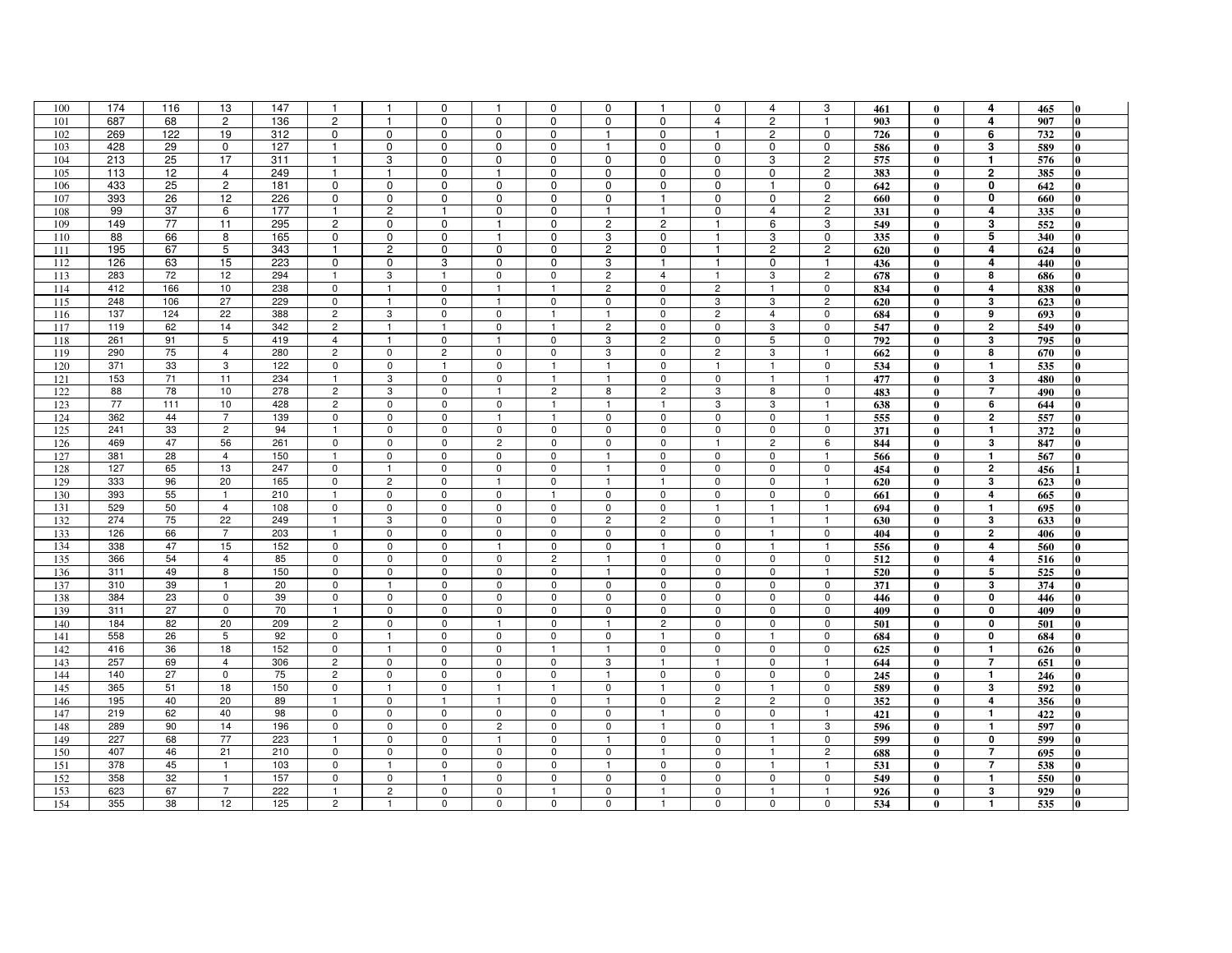| 100 | 174 | 116 | 13             | 147 | $\mathbf{1}$   | $\mathbf{1}$     | $\mathbf 0$    | $\mathbf{1}$   | $\mathbf 0$    | 0              | $\mathbf{1}$            | 0              | $\overline{4}$ | 3              | 461 | $\bf{0}$     | 4                       | 465 | o            |
|-----|-----|-----|----------------|-----|----------------|------------------|----------------|----------------|----------------|----------------|-------------------------|----------------|----------------|----------------|-----|--------------|-------------------------|-----|--------------|
| 101 | 687 | 68  | $\overline{2}$ | 136 | $\overline{c}$ | $\mathbf{1}$     | $\mathbf 0$    | $\mathbf 0$    | $\mathbf 0$    | $\mathbf 0$    | $\mathbf 0$             | $\overline{4}$ | $\overline{c}$ | $\mathbf{1}$   | 903 | $\mathbf{0}$ | $\overline{4}$          | 907 | 0            |
| 102 | 269 | 122 | 19             | 312 | 0              | $\mathbf 0$      | $\mathbf 0$    | $\mathbf 0$    | $\mathbf 0$    | $\mathbf{1}$   | 0                       | $\mathbf{1}$   | $\overline{c}$ | $\mathbf 0$    | 726 | $\mathbf{0}$ | 6                       | 732 |              |
| 103 | 428 | 29  | $\mathbf 0$    | 127 | $\overline{1}$ | 0                | $\mathbf 0$    | $\mathbf 0$    | $\mathbf 0$    | $\mathbf{1}$   | $\mathbf 0$             | $\mathbf 0$    | $\mathbf 0$    | $\mathbf 0$    | 586 | $\bf{0}$     | 3                       | 589 | 0            |
| 104 | 213 | 25  | 17             | 311 | $\mathbf{1}$   | 3                | $\mathbf 0$    | 0              | $\mathbf 0$    | 0              | 0                       | 0              | 3              | $\overline{c}$ | 575 | $\mathbf{0}$ | $\mathbf 1$             | 576 |              |
| 105 | 113 | 12  | $\overline{4}$ | 249 | -1             | -1               | 0              | $\mathbf{1}$   | 0              | 0              | 0                       | 0              | 0              | $\mathbf{2}$   | 383 | $\mathbf{0}$ | $\overline{\mathbf{2}}$ | 385 | $\mathbf{0}$ |
| 106 | 433 | 25  | $\overline{2}$ | 181 | $\overline{0}$ | $\overline{0}$   | $\mathbf 0$    | $\mathbf 0$    | $\mathbf 0$    | 0              | $\mathbf 0$             | 0              | $\overline{1}$ | 0              | 642 | $\mathbf{0}$ | 0                       | 642 | 0            |
| 107 | 393 | 26  | 12             | 226 | $\mathbf 0$    | $\mathbf 0$      | $\mathbf 0$    | $\mathbf 0$    | $\mathbf 0$    | $\mathbf 0$    | $\mathbf{1}$            | 0              | $\mathbf 0$    | $\overline{2}$ | 660 | $\mathbf{0}$ | 0                       | 660 | 0            |
| 108 | 99  | 37  | 6              | 177 | -1             | $\boldsymbol{2}$ | $\mathbf{1}$   | $\mathbf 0$    | $\mathbf 0$    | -1             | $\mathbf{1}$            | 0              | $\overline{4}$ | $\sqrt{2}$     | 331 | $\mathbf{0}$ | 4                       | 335 | 0            |
| 109 | 149 | 77  | 11             | 295 | $\overline{c}$ | $\mathbf 0$      | $\mathbf 0$    | $\mathbf{1}$   | $\mathbf 0$    | $\overline{c}$ | $\overline{c}$          | $\mathbf{1}$   | 6              | 3              | 549 | $\mathbf{0}$ | 3                       | 552 |              |
| 110 | 88  | 66  | 8              | 165 | $\mathbf 0$    | $\mathbf 0$      | $\mathbf 0$    | $\mathbf{1}$   | $\mathbf 0$    | 3              | $\mathbf 0$             | $\mathbf{1}$   | 3              | $\mathsf{O}$   | 335 | $\bf{0}$     | 5                       | 340 | 0            |
| 111 | 195 | 67  | 5              | 343 | -1             | $\overline{c}$   | $\mathbf 0$    | $\mathbf 0$    | $\mathbf 0$    | $\overline{c}$ | $\mathbf 0$             | $\mathbf{1}$   | $\overline{c}$ | $\mathbf{2}$   | 620 | $\bf{0}$     | 4                       | 624 | 0            |
| 112 | 126 | 63  | 15             | 223 | $\mathbf 0$    | $\mathsf 0$      | 3              | $\mathbf 0$    | $\mathbf 0$    | 3              | $\mathbf{1}$            | $\mathbf{1}$   | $\mathbf 0$    | $\mathbf{1}$   | 436 | $\mathbf{0}$ | 4                       | 440 |              |
| 113 | 283 | 72  | 12             | 294 | $\overline{1}$ | 3                | $\mathbf{1}$   | 0              | 0              | $\overline{2}$ | $\overline{4}$          | $\mathbf{1}$   | 3              | $\overline{2}$ | 678 | $\bf{0}$     | 8                       | 686 | 0            |
| 114 | 412 | 166 | 10             | 238 | $\mathbf 0$    | $\mathbf{1}$     | $\mathbf 0$    | $\mathbf{1}$   | $\overline{1}$ | $\overline{c}$ | 0                       | $\overline{2}$ | $\mathbf{1}$   | 0              | 834 | $\bf{0}$     | 4                       | 838 | $\Omega$     |
| 115 | 248 | 106 | 27             | 229 | $\mathbf 0$    | $\overline{1}$   | $\mathbf 0$    | $\overline{1}$ | $\Omega$       | $\mathbf 0$    | $\mathbf 0$             | 3              | 3              | $\overline{c}$ | 620 | $\mathbf{0}$ | 3                       | 623 |              |
| 116 | 137 | 124 | 22             | 388 | $\overline{c}$ | 3                | $\mathsf 0$    | $\mathbf 0$    | $\mathbf{1}$   | $\mathbf{1}$   | $\mathbf 0$             | $\overline{2}$ | $\overline{4}$ | $\mathbf 0$    | 684 | $\bf{0}$     | 9                       | 693 | $\bf{0}$     |
| 117 | 119 | 62  | 14             | 342 | $\overline{c}$ | $\overline{1}$   | $\mathbf{1}$   | $\mathbf 0$    | -1             | $\overline{c}$ | $\mathbf 0$             | $\mathbf 0$    | 3              | $\mathbf 0$    | 547 | $\mathbf{0}$ | $\mathbf{2}$            | 549 | 0            |
| 118 | 261 | 91  | 5              | 419 | $\overline{4}$ | $\mathbf{1}$     | $\mathsf 0$    | $\mathbf{1}$   | 0              | 3              | $\overline{c}$          | $\mathbf 0$    | $\overline{5}$ | $\mathsf 0$    | 792 | $\mathbf{0}$ | 3                       | 795 |              |
| 119 | 290 | 75  | $\overline{4}$ | 280 | $\overline{c}$ | $\mathbf 0$      | $\overline{2}$ | $\mathbf 0$    | $\mathsf 0$    | 3              | $\mathbf 0$             | $\overline{2}$ | 3              | $\mathbf{1}$   | 662 | $\bf{0}$     | 8                       | 670 | <sup>0</sup> |
| 120 | 371 | 33  | 3              | 122 | 0              | $\mathbf 0$      | $\mathbf{1}$   | 0              | -1             | -1             | 0                       | -1             | $\overline{1}$ | $\mathbf 0$    | 534 | $\bf{0}$     | $\mathbf{1}$            | 535 | 0            |
| 121 | 153 | 71  | 11             | 234 | $\mathbf{1}$   | 3                | $\mathbf 0$    | $\mathbf 0$    | $\overline{1}$ | $\mathbf{1}$   | $\mathbf 0$             | $\mathbf 0$    | $\overline{1}$ | $\mathbf{1}$   | 477 | $\mathbf{0}$ | $\mathbf 3$             | 480 |              |
| 122 | 88  | 78  | 10             | 278 | $\overline{c}$ | 3                | $\mathbf 0$    | $\mathbf{1}$   | $\overline{c}$ | 8              | $\overline{c}$          | 3              | 8              | $\mathbf 0$    | 483 | $\mathbf{0}$ | $\overline{7}$          | 490 | 0            |
| 123 | 77  | 111 | 10             | 428 | $\overline{c}$ | $\mathbf 0$      | $\mathsf 0$    | $\mathbf 0$    | $\overline{1}$ | $\mathbf{1}$   | $\mathbf{1}$            | 3              | 3              | $\mathbf{1}$   | 638 | $\bf{0}$     | 6                       | 644 |              |
| 124 | 362 | 44  | $\overline{7}$ | 139 | 0              | $\mathbf 0$      | $\mathsf 0$    | $\mathbf{1}$   | $\overline{1}$ | $\mathbf 0$    | $\mathbf 0$             | 0              | 0              | $\mathbf{1}$   | 555 | $\mathbf{0}$ | $\overline{2}$          | 557 |              |
| 125 | 241 | 33  | $\overline{c}$ | 94  | $\overline{1}$ | $\mathbf 0$      | $\mathsf 0$    | $\mathbf 0$    | $\mathbf 0$    | $\mathbf 0$    | $\mathbf 0$             | $\mathbf 0$    | $\mathbf 0$    | $\mathsf 0$    | 371 | $\bf{0}$     | $\mathbf{1}$            | 372 |              |
| 126 | 469 | 47  | 56             | 261 | $\mathbf 0$    | $\mathbf 0$      | $\mathsf 0$    | $\overline{c}$ | 0              | 0              | 0                       | $\mathbf{1}$   | $\overline{c}$ | 6              | 844 | $\bf{0}$     | 3                       | 847 | O            |
| 127 | 381 | 28  | $\overline{4}$ | 150 | $\overline{1}$ | $\mathsf 0$      | $\mathsf{O}$   | $\mathbf 0$    | $\mathsf 0$    | $\mathbf{1}$   | $\mathbf 0$             | $\mathbf 0$    | 0              | $\mathbf{1}$   | 566 | $\bf{0}$     | $\mathbf{1}$            | 567 |              |
| 128 | 127 | 65  | 13             | 247 | $\mathbf 0$    | $\mathbf{1}$     | $\mathbf 0$    | 0              | $\mathbf 0$    | $\mathbf{1}$   | $\mathbf 0$             | $\mathbf 0$    | 0              | $\mathbf 0$    | 454 | $\mathbf{0}$ | $\overline{\mathbf{2}}$ | 456 |              |
| 129 | 333 | 96  | 20             | 165 | $\mathbf 0$    | $\overline{c}$   | $\pmb{0}$      | $\mathbf{1}$   | $\mathsf 0$    | $\overline{1}$ | $\mathbf{1}$            | 0              | $\pmb{0}$      | $\mathbf{1}$   | 620 | $\bf{0}$     | 3                       | 623 |              |
| 130 | 393 | 55  | $\overline{1}$ | 210 | $\overline{1}$ | $\mathbf 0$      | $\mathbf 0$    | $\mathbf 0$    | $\overline{1}$ | $\mathbf 0$    | $\mathbf 0$             | $\mathbf 0$    | $\mathsf 0$    | $\mathbf 0$    | 661 | $\mathbf{0}$ | 4                       | 665 |              |
| 131 | 529 | 50  | $\overline{4}$ | 108 | $\mathbf 0$    | $\pmb{0}$        | $\pmb{0}$      | 0              | 0              | 0              | $\mathbf 0$             |                | $\overline{1}$ | $\mathbf{1}$   | 694 | $\bf{0}$     | $\mathbf{1}$            | 695 |              |
| 132 | 274 | 75  | 22             | 249 | $\overline{1}$ | 3                | $\mathbf 0$    | 0              | 0              | $\overline{c}$ | $\overline{c}$          | 0              | $\overline{1}$ | $\mathbf{1}$   | 630 | $\mathbf{0}$ | 3                       | 633 |              |
| 133 | 126 | 66  | $\overline{7}$ | 203 | $\overline{1}$ | $\mathbf 0$      | $\mathbf 0$    | 0              | 0              | 0              | 0                       | $^{\circ}$     | $\overline{1}$ | 0              | 404 | $\bf{0}$     | $\mathbf{2}$            | 406 | 0            |
| 134 | 338 | 47  | 15             | 152 | $\mathbf 0$    | $\mathbf 0$      | $\mathbf 0$    |                | 0              | $\mathbf 0$    | $\overline{\mathbf{1}}$ | $\mathbf 0$    | $\overline{1}$ | $\mathbf{1}$   | 556 | $\mathbf{0}$ | 4                       | 560 | ∩            |
| 135 | 366 | 54  | $\overline{4}$ | 85  | $\mathbf 0$    | $\mathbf 0$      | $\mathsf 0$    | 0              | $\overline{c}$ | $\mathbf{1}$   | $\mathbf 0$             | 0              | $\mathbf 0$    | $\mathbf 0$    | 512 | $\mathbf{0}$ | 4                       | 516 | $\Omega$     |
| 136 | 311 | 49  | 8              | 150 | $\mathbf 0$    | $\mathbf 0$      | $\mathbf 0$    | $\mathbf 0$    | $\mathbf 0$    | $\mathbf{1}$   | $\mathbf 0$             | 0              | $\mathbf 0$    | $\mathbf{1}$   | 520 | $\bf{0}$     | 5                       | 525 | 0            |
| 137 | 310 | 39  | $\mathbf{1}$   | 20  | $\mathbf 0$    | $\overline{1}$   | $\mathbf 0$    | 0              | 0              | $\mathbf 0$    | $\mathbf 0$             | $\mathbf 0$    | 0              | $\mathbf 0$    | 371 | $\bf{0}$     | 3                       | 374 | 0            |
| 138 | 384 | 23  | $\mathbf 0$    | 39  | $\mathbf 0$    | $\mathsf 0$      | $\mathbf 0$    | $\mathsf 0$    | $\mathbf 0$    | $\mathbf 0$    | $\mathbf 0$             | $\mathbf 0$    | $\mathbf 0$    | $\mathbf 0$    | 446 | $\mathbf{0}$ | $\mathbf 0$             | 446 |              |
| 139 | 311 | 27  | $\mathbf 0$    | 70  | $\overline{1}$ | $\mathbf 0$      | $\mathbf 0$    | $\mathbf 0$    | $\mathbf 0$    | $\mathbf 0$    | $\mathbf 0$             | $\mathbf{0}$   | 0              | $\mathsf{O}$   | 409 | $\bf{0}$     | $\mathbf 0$             | 409 | 0            |
| 140 | 184 | 82  | 20             | 209 | $\overline{c}$ | $\mathsf 0$      | $\mathsf 0$    | $\mathbf{1}$   | $\mathbf 0$    | -1             | $\overline{c}$          | $\mathbf 0$    | $\mathbf 0$    | $\mathbf 0$    | 501 | $\bf{0}$     | $\mathbf 0$             | 501 |              |
| 141 | 558 | 26  | 5              | 92  | $\mathbf 0$    | $\overline{1}$   | $\mathbf 0$    | $\Omega$       | $\mathbf 0$    | $\mathbf 0$    | $\mathbf{1}$            | 0              | $\overline{1}$ | $\mathbf 0$    | 684 | $\mathbf{0}$ | $\mathbf 0$             | 684 |              |
| 142 | 416 | 36  | 18             | 152 | $\mathbf 0$    | $\overline{1}$   | $\mathsf 0$    | $\mathbf 0$    | $\mathbf{1}$   | $\overline{1}$ | 0                       | 0              | $\pmb{0}$      | $\mathbf 0$    | 625 | $\bf{0}$     | $\mathbf{1}$            | 626 | 0            |
| 143 | 257 | 69  | $\overline{4}$ | 306 | $\overline{c}$ | $\mathbf 0$      | $\mathbf 0$    | $\mathbf 0$    | $\mathbf 0$    | 3              | -1                      |                | $\mathbf 0$    | $\mathbf{1}$   | 644 | $\mathbf{0}$ | $\overline{7}$          | 651 | 0            |
| 144 | 140 | 27  | $\mathsf 0$    | 75  | $\overline{c}$ | $\mathsf 0$      | $\pmb{0}$      | 0              | 0              | $\mathbf{1}$   | 0                       | $\mathbf 0$    | 0              | $\mathbf 0$    | 245 | $\mathbf{0}$ | $\mathbf{1}$            | 246 |              |
| 145 | 365 | 51  | 18             | 150 | $\mathbf 0$    | $\overline{1}$   | $\mathbf 0$    | $\overline{1}$ | $\mathbf{1}$   | $^{\circ}$     | $\mathbf{1}$            | $\mathbf 0$    | $\overline{1}$ | $\mathbf 0$    | 589 | $\mathbf{0}$ | 3                       | 592 | <sup>0</sup> |
| 146 | 195 | 40  | 20             | 89  | $\overline{1}$ | $\mathbf 0$      | $\mathbf{1}$   | $\mathbf{1}$   | 0              | -1             | 0                       | $\overline{2}$ | $\overline{c}$ | 0              | 352 | $\bf{0}$     | 4                       | 356 | 0            |
| 147 | 219 | 62  | 40             | 98  | $\mathsf 0$    | $\mathbf 0$      | $\mathbf 0$    | $\mathbf 0$    | $\mathbf 0$    | $\mathbf 0$    | $\mathbf{1}$            | $\mathbf 0$    | $\mathbf 0$    | $\mathbf{1}$   | 421 | $\bf{0}$     | $\mathbf{1}$            | 422 |              |
| 148 | 289 | 90  | 14             | 196 | $\mathbf 0$    | $\mathbf 0$      | $\mathbf 0$    | $\overline{2}$ | $\mathbf 0$    | $\mathbf 0$    | $\mathbf{1}$            | $\mathbf 0$    | $\overline{1}$ | 3              | 596 | $\mathbf{0}$ | $\mathbf{1}$            | 597 | 0            |
| 149 | 227 | 68  | 77             | 223 | $\overline{1}$ | $\mathbf 0$      | $\mathsf 0$    | $\mathbf{1}$   | $\mathbf 0$    | $\overline{1}$ | 0                       | 0              | $\mathbf{1}$   | $\mathbf 0$    | 599 | $\bf{0}$     | $\pmb{0}$               | 599 |              |
| 150 | 407 | 46  | 21             | 210 | $\mathbf 0$    | $\mathbf 0$      | $\mathbf 0$    | $\mathbf 0$    | $\mathbf 0$    | $\mathbf 0$    | $\mathbf{1}$            | $\mathbf 0$    | $\mathbf{1}$   | $\overline{c}$ | 688 | $\mathbf{0}$ | $\overline{7}$          | 695 |              |
| 151 | 378 | 45  | $\overline{1}$ | 103 | $\mathbf 0$    | $\mathbf{1}$     | $\pmb{0}$      | $\mathbf 0$    | $\mathbf 0$    | $\overline{1}$ | $\mathbf 0$             | $\mathbf 0$    | $\overline{1}$ | $\overline{1}$ | 531 | $\bf{0}$     | $\overline{7}$          | 538 |              |
| 152 | 358 | 32  | $\overline{1}$ | 157 | $\mathbf 0$    | $\mathsf 0$      | $\mathbf{1}$   | $\mathbf 0$    | 0              | $\mathbf 0$    | $\mathbf 0$             | 0              | $\mathbf 0$    | $\mathsf 0$    | 549 | $\bf{0}$     | $\mathbf{1}$            | 550 |              |
| 153 | 623 | 67  | $\overline{7}$ | 222 | $\mathbf{1}$   | $\overline{c}$   | $\mathbf 0$    | $\mathbf 0$    |                | $\mathbf 0$    | $\mathbf{1}$            | $\mathbf 0$    | $\overline{1}$ | $\mathbf{1}$   | 926 | $\bf{0}$     | 3                       | 929 |              |
| 154 | 355 | 38  | 12             | 125 | $\overline{c}$ | $\mathbf{1}$     | $\mathbf 0$    | $\mathbf 0$    | $\mathbf 0$    | $\Omega$       |                         | 0              | $\mathbf 0$    | $\mathbf 0$    | 534 | $\mathbf{0}$ | $\mathbf{1}$            | 535 | 0            |
|     |     |     |                |     |                |                  |                |                |                |                |                         |                |                |                |     |              |                         |     |              |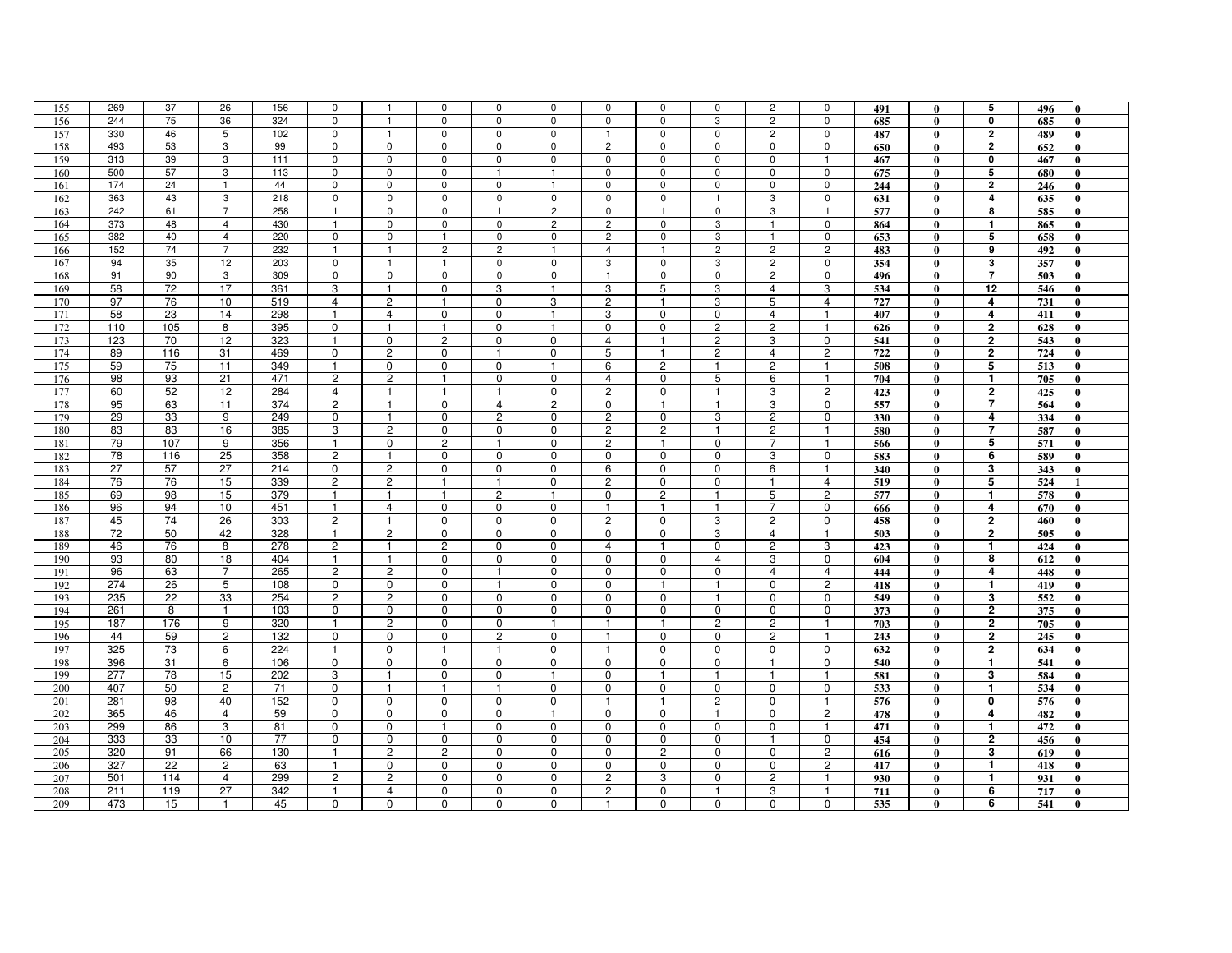| 155        | 269 | 37       | 26             | 156 | $\mathbf 0$         | $\overline{1}$    | 0              | 0                     | 0              | $^{\circ}$     | 0                           | 0                     | $\overline{c}$ | 0                             | 491        | $\bf{0}$                     | 5                       | 496 | 0            |
|------------|-----|----------|----------------|-----|---------------------|-------------------|----------------|-----------------------|----------------|----------------|-----------------------------|-----------------------|----------------|-------------------------------|------------|------------------------------|-------------------------|-----|--------------|
| 156        | 244 | 75       | 36             | 324 | $\mathbf 0$         | $\overline{1}$    | $\mathbf 0$    | 0                     | $\mathbf 0$    | $\mathbf 0$    | $\mathbf 0$                 | 3                     | $\overline{c}$ | $\mathbf 0$                   | 685        | $\mathbf{0}$                 | $\mathbf 0$             | 685 | 0            |
| 157        | 330 | 46       | 5              | 102 | $\mathbf{0}$        | $\overline{1}$    | $\mathbf 0$    | $\mathbf 0$           | $\mathbf 0$    | $\mathbf{1}$   | $\mathbf 0$                 | $\mathbf 0$           | $\overline{c}$ | $\mathbf 0$                   | 487        | $\mathbf{0}$                 | $\mathbf{2}$            | 489 | 0            |
| 158        | 493 | 53       | 3              | 99  | $\mathsf 0$         | $\mathsf 0$       | $\mathsf 0$    | $\mathbf 0$           | $\pmb{0}$      | $\overline{c}$ | $\mathbf 0$                 | $\mathbf 0$           | $\mathsf 0$    | $\mathbf 0$                   | 650        | $\bf{0}$                     | $\overline{\mathbf{2}}$ | 652 | 0            |
| 159        | 313 | 39       | 3              | 111 | $\mathbf 0$         | $\mathbf 0$       | $\mathbf 0$    | $\mathbf 0$           | $\mathbf 0$    | $\mathbf 0$    | $\mathbf 0$                 | $\mathbf 0$           | $\mathsf 0$    | $\mathbf{1}$                  | 467        | $\bf{0}$                     | $\mathbf 0$             | 467 |              |
| 160        | 500 | 57       | $\mathbf{3}$   | 113 | $\mathbf 0$         | $\pmb{0}$         | $\mathsf 0$    |                       | $\overline{1}$ | 0              | 0                           | 0                     | 0              | 0                             | 675        | $\bf{0}$                     | 5                       | 680 | 0            |
| 161        | 174 | 24       | $\overline{1}$ | 44  | $\mathbf 0$         | $\mathbf 0$       | $\mathbf 0$    | $\mathbf 0$           | $\overline{1}$ | $\mathbf 0$    | $\mathbf 0$                 | $\mathbf 0$           | $\mathsf 0$    | $\mathbf 0$                   | 244        | $\mathbf{0}$                 | $\mathbf{2}$            | 246 | <sup>0</sup> |
| 162        | 363 | 43       | 3              | 218 | $\mathbf 0$         | $\mathbf 0$       | $\mathbf 0$    | $\mathbf 0$           | $\mathbf 0$    | 0              | $\mathbf 0$                 | -1                    | 3              | $\mathsf{O}$                  | 631        | $\bf{0}$                     | 4                       | 635 | 0            |
| 163        | 242 | 61       | $\overline{7}$ | 258 | $\overline{1}$      | $\mathsf 0$       | $\mathbf 0$    | $\overline{1}$        | $\overline{c}$ | $\mathbf 0$    | $\overline{1}$              | $\mathbf 0$           | 3              | $\overline{1}$                | 577        | $\mathbf{0}$                 | 8                       | 585 | 0            |
| 164        | 373 | 48       | 4              | 430 | $\overline{1}$      | $\mathbf 0$       | $\mathbf 0$    | $\mathbf 0$           | $\overline{c}$ | $\overline{c}$ | $\mathsf 0$                 | 3                     | $\overline{1}$ | $\mathsf{O}$                  | 864        | $\mathbf{0}$                 | $\mathbf{1}$            | 865 | 0            |
| 165        | 382 | 40       | $\overline{4}$ | 220 | $\mathsf 0$         | $\mathsf{O}$      | $\overline{1}$ | $\mathbf 0$           | $\mathbf 0$    | $\overline{c}$ | $\mathbf 0$                 | 3                     | $\mathbf{1}$   | $\mathsf 0$                   |            |                              | 5                       |     | $\bf{0}$     |
|            | 152 | 74       | $\overline{7}$ | 232 | $\overline{1}$      | $\overline{1}$    | $\overline{c}$ | $\overline{2}$        | $\overline{1}$ | $\overline{4}$ | $\mathbf{1}$                | $\overline{2}$        | $\overline{c}$ | $\overline{2}$                | 653        | $\bf{0}$                     | 9                       | 658 | 0            |
| 166        |     | 35       |                |     |                     | $\overline{1}$    |                | $\mathbf 0$           | $\mathbf 0$    | 3              |                             | 3                     | $\overline{c}$ | $\mathsf 0$                   | 483        | $\bf{0}$                     |                         | 492 |              |
| 167        | 94  |          | 12             | 203 | $\mathsf 0$         |                   | $\overline{1}$ |                       |                |                | $\mathsf 0$                 |                       |                |                               | 354        | $\mathbf{0}$                 | 3                       | 357 |              |
| 168        | 91  | 90       | $\mathbf{3}$   | 309 | $\mathbf 0$         | $\mathbf 0$       | $\mathbf 0$    | $\mathbf 0$           | $\mathbf 0$    | $\mathbf{1}$   | $\mathbf 0$                 | $\mathbf 0$           | $\overline{2}$ | $\mathbf 0$                   | 496        | $\bf{0}$                     | $\overline{7}$          | 503 | 0            |
| 169        | 58  | 72       | 17             | 361 | 3                   | $\mathbf{1}$      | $\mathbf 0$    | 3                     | $\mathbf{1}$   | 3              | 5                           | 3                     | $\overline{4}$ | 3                             | 534        | $\bf{0}$                     | 12                      | 546 |              |
| 170        | 97  | 76       | 10             | 519 | $\overline{4}$      | $\overline{c}$    | $\overline{1}$ | $\mathbf 0$           | 3              | $\overline{c}$ | $\mathbf{1}$                | 3                     | 5              | $\overline{4}$                | 727        | $\bf{0}$                     | 4                       | 731 |              |
| 171        | 58  | 23       | 14             | 298 | $\overline{1}$      | $\overline{4}$    | $\mathbf 0$    | $\mathbf 0$           | $\overline{1}$ | 3              | 0                           | 0                     | $\overline{4}$ | $\mathbf{1}$                  | 407        | $\bf{0}$                     | $\boldsymbol{4}$        | 411 | $\bf{0}$     |
| 172        | 110 | 105      | 8              | 395 | $\mathbf 0$         | -1                | -1             | $\mathbf 0$           | -1             | 0              | $\mathbf 0$                 | $\overline{2}$        | $\overline{c}$ | $\mathbf{1}$                  | 626        | $\mathbf{0}$                 | $\overline{2}$          | 628 | 0            |
| 173        | 123 | 70       | 12             | 323 | $\overline{1}$      | $\mathbf 0$       | $\overline{2}$ | 0                     | 0              | $\overline{4}$ | $\mathbf{1}$                | $\mathbf{2}$          | 3              | $\mathbf 0$                   | 541        | $\bf{0}$                     | $\overline{\mathbf{2}}$ | 543 |              |
| 174        | 89  | 116      | 31             | 469 | $\mathbf 0$         | $\overline{2}$    | $\mathbf 0$    | $\mathbf{1}$          | $\mathbf 0$    | 5              | $\mathbf{1}$                | $\overline{2}$        | $\overline{4}$ | $\overline{2}$                | 722        | $\bf{0}$                     | $\overline{2}$          | 724 | 0            |
| 175        | 59  | 75       | 11             | 349 | $\mathbf{1}$        | 0                 | 0              | 0                     | -1             | 6              | $\overline{c}$              | 1                     | $\overline{c}$ | $\mathbf{1}$                  | 508        | $\bf{0}$                     | 5                       | 513 | 0            |
| 176        | 98  | 93       | 21             | 471 | $\overline{c}$      | $\overline{2}$    | $\overline{1}$ | $\mathbf 0$           | $\mathbf 0$    | $\overline{4}$ | $\mathbf 0$                 | 5                     | 6              | $\mathbf{1}$                  | 704        | $\mathbf{0}$                 | $\mathbf{1}$            | 705 |              |
| 177        | 60  | 52       | 12             | 284 | $\overline{4}$      | $\mathbf{1}$      | $\mathbf{1}$   | $\mathbf{1}$          | $\overline{0}$ | $\overline{2}$ | $\mathbf 0$                 | $\mathbf{1}$          | 3              | $\overline{2}$                | 423        | $\mathbf{0}$                 | $\mathbf{2}$            | 425 | 0            |
| 178        | 95  | 63       | 11             | 374 | $\overline{c}$      | $\overline{1}$    | $\mathbf 0$    | $\overline{4}$        | $\overline{c}$ | 0              | $\mathbf{1}$                | $\mathbf{1}$          | 3              | $\mathbf 0$                   | 557        | $\bf{0}$                     | $\overline{7}$          | 564 |              |
| 179        | 29  | 33       | 9              | 249 | 0                   | $\overline{1}$    | $\mathbf 0$    | $\mathbf{2}^{\prime}$ | 0              | $\overline{c}$ | $\mathbf 0$                 | 3                     | $\overline{c}$ | $\mathbf 0$                   | 330        | $\mathbf{0}$                 | 4                       | 334 |              |
| 180        | 83  | 83       | 16             | 385 | 3                   | $\overline{c}$    | $\mathbf 0$    | $\mathbf 0$           | $\mathbf 0$    | $\overline{c}$ | $\overline{2}$              | $\mathbf{1}$          | $\overline{c}$ | $\mathbf{1}$                  | 580        | $\bf{0}$                     | $\overline{7}$          | 587 |              |
| 181        | 79  | 107      | 9              | 356 | $\overline{1}$      | 0                 | $\overline{c}$ | $\mathbf{1}$          | 0              | 2              | $\mathbf{1}$                | 0                     | $\overline{7}$ | $\mathbf{1}$                  | 566        | $\bf{0}$                     | 5                       | 571 | O            |
| 182        | 78  | 116      | 25             | 358 | $\overline{c}$      | $\overline{1}$    | 0              | 0                     | $\mathbf 0$    | $\mathbf 0$    | $\mathbf 0$                 | $\mathbf 0$           | 3              | $\mathbf 0$                   | 583        | $\bf{0}$                     | 6                       | 589 |              |
| 183        | 27  | 57       | 27             | 214 | $\mathbf 0$         | $\overline{c}$    | $\mathbf 0$    | $\mathbf 0$           | $\mathbf 0$    | 6              | $\mathbf 0$                 | $\Omega$              | 6              | $\mathbf{1}$                  | 340        | $\mathbf{0}$                 | 3                       | 343 |              |
| 184        | 76  | 76       | 15             | 339 | $\overline{c}$      | $\overline{c}$    | $\mathbf{1}$   | $\overline{1}$        | $\mathbf 0$    | $\overline{c}$ | $\mathbf 0$                 | 0                     | $\mathbf{1}$   | 4                             | 519        | $\bf{0}$                     | 5                       | 524 |              |
| 185        | 69  | 98       | 15             | 379 | $\mathbf{1}$        | $\mathbf{1}$      | $\mathbf{1}$   | $\overline{c}$        | -1             | 0              | $\overline{2}$              | -1                    | 5              | $\overline{2}$                | 577        | $\mathbf{0}$                 | $\mathbf{1}$            | 578 |              |
| 186        | 96  | 94       | 10             | 451 |                     | $\overline{4}$    | $\mathbf 0$    | 0                     | 0              | -1             | $\mathbf{1}$                | 1                     | $\overline{7}$ | 0                             | 666        | $\bf{0}$                     | 4                       | 670 |              |
| 187        | 45  | 74       | 26             | 303 | $\overline{2}$      | $\mathbf{1}$      | $\mathbf 0$    | $\mathbf 0$           | 0              | $\overline{2}$ | $\mathbf 0$                 | 3                     | $\overline{c}$ | $\mathbf 0$                   | 458        | $\mathbf{0}$                 | $\overline{2}$          | 460 |              |
| 188        | 72  | 50       | 42             | 328 | $\mathbf{1}$        | $\overline{2}$    | $\mathbf 0$    | 0                     | 0              | 0              | $\mathbf 0$                 | 3                     | $\overline{4}$ | $\mathbf{1}$                  | 503        | $\bf{0}$                     | $\overline{2}$          | 505 | 0            |
| 189        | 46  | 76       | 8              | 278 | $\overline{c}$      | $\mathbf{1}$      | $\overline{2}$ | $\mathbf 0$           | 0              | 4              | $\mathbf{1}$                | 0                     | $\sqrt{2}$     | 3                             | 423        | $\mathbf{0}$                 | -1                      | 424 | $\Omega$     |
| 190        | 93  | 80       | 18             | 404 | $\overline{1}$      | $\overline{1}$    | $\mathbf 0$    | $\mathbf 0$           | $\mathbf 0$    | 0              | $\mathbf 0$                 | $\overline{4}$        | 3              | $\mathbf 0$                   | 604        | $\mathbf{0}$                 | 8                       | 612 | $\Omega$     |
| 191        | 96  | 63       | $\overline{7}$ | 265 | $\overline{c}$      | $\overline{c}$    | $\mathbf 0$    | $\mathbf{1}$          | $\mathbf 0$    | $\mathbf 0$    | $\mathbf 0$                 | 0                     | $\overline{4}$ | $\overline{4}$                | 444        | $\bf{0}$                     | 4                       | 448 | $\bf{0}$     |
|            | 274 |          | 5              | 108 |                     | 0                 | $\mathbf 0$    | $\mathbf{1}$          | 0              | 0              | $\mathbf{1}$                | -1                    | $\mathbf 0$    | $\overline{c}$                |            |                              | $\mathbf{1}$            |     | 0            |
| 192<br>193 | 235 | 26<br>22 | 33             | 254 | 0<br>$\overline{c}$ | $\overline{c}$    | $\mathbf 0$    | $\mathbf 0$           | $\mathbf 0$    | $\mathbf 0$    | $\mathbf 0$                 | $\overline{1}$        | $\mathbf 0$    | $\mathsf 0$                   | 418<br>549 | $\mathbf{0}$<br>$\mathbf{0}$ | 3                       | 419 |              |
|            |     |          |                |     |                     |                   |                |                       |                |                |                             |                       |                |                               |            |                              |                         | 552 |              |
| 194        | 261 | 8        | $\overline{1}$ | 103 | $\mathbf 0$         | 0<br>$\mathbf{2}$ | $\mathbf 0$    | $\mathbf 0$           | $\mathbf 0$    | $\mathbf 0$    | $\mathbf 0$<br>$\mathbf{1}$ | $\mathbf 0$           | $\mathbf 0$    | $\mathbf 0$<br>$\overline{1}$ | 373        | $\bf{0}$                     | $\mathbf{2}$            | 375 | 0            |
| 195        | 187 | 176      | 9              | 320 | -1                  |                   | $\mathbf 0$    | 0                     |                | $\mathbf{1}$   |                             | $\overline{c}$        | $\overline{c}$ |                               | 703        | $\bf{0}$                     | $\mathbf{2}$            | 705 |              |
| 196        | 44  | 59       | $\overline{c}$ | 132 | $\mathbf 0$         | $\mathbf 0$       | $\mathbf 0$    | $\overline{2}$        | $\mathbf 0$    | $\mathbf{1}$   | $\mathbf 0$                 | $\mathbf 0$           | $\overline{2}$ |                               | 243        | 0                            | $\overline{2}$          | 245 |              |
| 197        | 325 | 73       | 6              | 224 | $\overline{1}$      | $\mathbf 0$       | $\mathbf{1}$   | $\mathbf{1}$          | $\mathbf 0$    | $\overline{1}$ | $\mathbf 0$                 | $\mathbf 0$           | $\mathbf 0$    | $\mathbf 0$                   | 632        | $\bf{0}$                     | $\overline{2}$          | 634 | $\bf{0}$     |
| 198        | 396 | 31       | 6              | 106 | $\mathbf 0$         | $\mathbf 0$       | $\mathbf 0$    | $\mathbf 0$           | 0              | 0              | $\mathbf 0$                 | 0                     | $\mathbf{1}$   | $\mathbf 0$                   | 540        | $\mathbf{0}$                 | $\mathbf 1$             | 541 | 0            |
| 199        | 277 | 78       | 15             | 202 | $\overline{3}$      | $\mathbf{1}$      | $\mathbf 0$    | 0                     | $\mathbf{1}$   | 0              | $\mathbf{1}$                | $\mathbf{1}$          | $\overline{1}$ | $\mathbf{1}$                  | 581        | $\bf{0}$                     | 3                       | 584 |              |
| 200        | 407 | 50       | $\overline{2}$ | 71  | $\mathbf 0$         | $\overline{1}$    | $\mathbf{1}$   | $\mathbf{1}$          | $\mathbf 0$    | $\mathbf 0$    | $\mathbf 0$                 | $\mathbf 0$           | $\mathbf 0$    | $\mathbf 0$                   | 533        | $\mathbf{0}$                 | $\mathbf{1}$            | 534 | <sup>0</sup> |
| 201        | 281 | 98       | 40             | 152 | $\mathbf 0$         | $\mathbf 0$       | $\mathbf 0$    | 0                     | 0              | -1             | 1                           | $\mathbf{2}^{\prime}$ | 0              | $\mathbf{1}$                  | 576        | $\bf{0}$                     | 0                       | 576 | 0            |
| 202        | 365 | 46       | $\overline{4}$ | 59  | $\mathbf 0$         | $\Omega$          | $\mathbf 0$    | 0                     | $\overline{1}$ | 0              | 0                           | $\mathbf{1}$          | $\mathbf 0$    | $\overline{c}$                | 478        | $\bf{0}$                     | 4                       | 482 |              |
| 203        | 299 | 86       | 3              | 81  | $\mathbf 0$         | $\mathbf 0$       | $\mathbf{1}$   | $\mathbf 0$           | $\mathbf 0$    | $\mathbf 0$    | $\mathbf 0$                 | $\mathbf 0$           | $\mathbf 0$    | $\mathbf{1}$                  | 471        | $\bf{0}$                     | $\mathbf{1}$            | 472 | 0            |
| 204        | 333 | 33       | 10             | 77  | $\mathbf 0$         | 0                 | $\mathbf 0$    | 0                     | $\mathbf 0$    | 0              | 0                           | 0                     | $\mathbf{1}$   | $\mathsf 0$                   | 454        | $\bf{0}$                     | $\mathbf{2}$            | 456 | $\mathbf{0}$ |
| 205        | 320 | 91       | 66             | 130 | $\overline{1}$      | $\mathbf{2}$      | $\mathbf{2}$   | $\mathbf 0$           | 0              | 0              | $\overline{c}$              | 0                     | $\mathbf 0$    | $\overline{c}$                | 616        | $\bf{0}$                     | 3                       | 619 |              |
| 206        | 327 | 22       | $\overline{2}$ | 63  | $\overline{1}$      | 0                 | $\mathbf 0$    | $\mathbf 0$           | $\mathbf 0$    | $\mathbf 0$    | $\mathbf 0$                 | $\mathbf 0$           | $\mathbf 0$    | $\overline{c}$                | 417        | $\bf{0}$                     | $\mathbf{1}$            | 418 | $\mathbf{0}$ |
| 207        | 501 | 114      | $\overline{4}$ | 299 | $\overline{c}$      | $\mathbf{2}$      | $\mathbf 0$    | 0                     | 0              | 2              | 3                           | 0                     | $\overline{c}$ | $\mathbf{1}$                  | 930        | $\bf{0}$                     | $\mathbf{1}$            | 931 |              |
| 208        | 211 | 119      | 27             | 342 | -1                  | 4                 | 0              | 0                     | $\mathbf 0$    | 2              | $\mathbf 0$                 |                       | 3              | $\overline{1}$                | 711        | $\bf{0}$                     | 6                       | 717 |              |
| 209        | 473 | 15       | $\mathbf{1}$   | 45  | $\mathbf 0$         | $\mathbf 0$       | $\mathbf 0$    | $\mathbf 0$           | 0              | $\mathbf{1}$   | $\mathbf 0$                 | 0                     | 0              | $\mathbf 0$                   | 535        | $\bf{0}$                     | 6                       | 541 | $\mathbf{0}$ |
|            |     |          |                |     |                     |                   |                |                       |                |                |                             |                       |                |                               |            |                              |                         |     |              |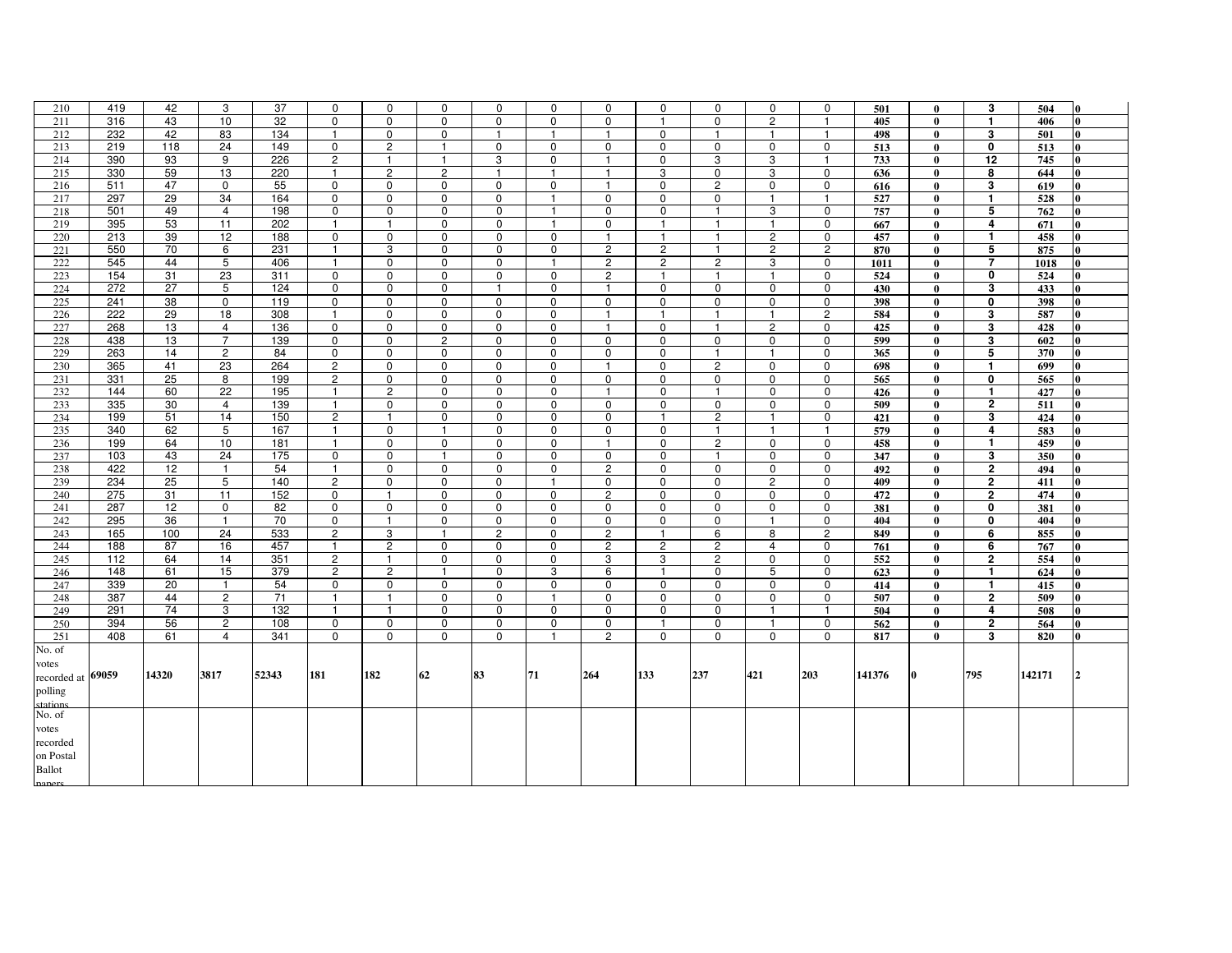| 210               | 419 | 42    | 3                   | 37         | $\mathbf 0$                | $\mathbf 0$                | 0                             | 0              | 0                | 0              | 0                          | $\mathbf 0$              | 0                          | $\mathbf 0$             | 501        | $\mathbf{0}$ | 3                       | 504    | l0       |
|-------------------|-----|-------|---------------------|------------|----------------------------|----------------------------|-------------------------------|----------------|------------------|----------------|----------------------------|--------------------------|----------------------------|-------------------------|------------|--------------|-------------------------|--------|----------|
| 211               | 316 | 43    | 10                  | 32         | $\mathbf 0$                | $\Omega$                   | $\mathbf 0$                   | $\mathbf 0$    | 0                | $\Omega$       | $\mathbf{1}$               | $\Omega$                 | $\overline{2}$             | $\mathbf{1}$            | 405        | $\mathbf{0}$ | $\blacksquare$          | 406    | l0.      |
| 212               | 232 | 42    | 83                  | 134        | $\mathbf{1}$               | $\mathbf 0$                | $\mathbf 0$                   | -1             | -1               | -1             | $\mathbf 0$                | $\mathbf{1}$             | $\mathbf{1}$               | $\mathbf{1}$            | 498        | $\mathbf{0}$ | 3                       | 501    | 0        |
| 213               | 219 | 118   | 24                  | 149        | 0                          | $\overline{c}$             | $\mathbf{1}$                  | 0              | 0                | 0              | 0                          | 0                        | 0                          | 0                       | 513        | $\bf{0}$     | 0                       | 513    |          |
| 214               | 390 | 93    | 9                   | 226        | $\overline{c}$             | $\mathbf{1}$               | $\mathbf{1}$                  | 3              | $\mathbf 0$      | -1             | $\mathbf 0$                | 3                        | 3                          | $\overline{1}$          | 733        | $\theta$     | 12                      | 745    |          |
| 215               | 330 | 59    | 13                  | 220        | $\mathbf{1}$               | $\overline{c}$             | $\overline{c}$                | $\mathbf{1}$   | $\mathbf{1}$     | $\mathbf{1}$   | 3                          | 0                        | 3                          | $\mathbf 0$             | 636        | $\mathbf{0}$ | 8                       | 644    | $\bf{0}$ |
| 216               | 511 | 47    | $\mathbf 0$         | 55         | $\mathbf 0$                | $\mathbf 0$                | $\mathbf 0$                   | $\mathbf 0$    | 0                | $\overline{1}$ | $\mathbf 0$                | $\overline{2}$           | $\mathbf 0$                | $\mathbf 0$             | 616        | $\bf{0}$     | 3                       | 619    | $\bf{0}$ |
| 217               | 297 | 29    | 34                  | 164        | 0                          | 0                          | 0                             | 0              | -1               | 0              | 0                          | 0                        | $\mathbf{1}$               | $\mathbf{1}$            | 527        | $\bf{0}$     | $\mathbf{1}$            | 528    | 0        |
| 218               | 501 | 49    | $\overline{4}$      | 198        | $\mathbf 0$                | $\mathbf 0$                | $\mathbf 0$                   | $\mathbf 0$    | $\mathbf{1}$     | $\mathbf 0$    | $\mathbf 0$                | $\overline{1}$           | 3                          | $\mathbf 0$             | 757        | $\mathbf{0}$ | 5                       | 762    | 0        |
| 219               | 395 | 53    | 11                  | 202        | $\overline{1}$             | $\mathbf{1}$               | 0                             | 0              | $\mathbf{1}$     | 0              | -1                         | $\mathbf{1}$             | $\mathbf{1}$               | $\mathbf 0$             | 667        | $\bf{0}$     | 4                       | 671    | 0        |
| 220               | 213 | 39    | 12                  | 188        | $\mathbf 0$                | $\mathbf 0$                | $\mathbf 0$                   | 0              | 0                | $\mathbf{1}$   | $\mathbf{1}$               | $\overline{1}$           | $\overline{c}$             | 0                       | 457        | $\mathbf{0}$ | $\mathbf{1}$            | 458    | 0        |
| 221               | 550 | 70    | 6                   | 231        | $\overline{1}$             | 3                          | $\mathbf 0$                   | $\mathbf 0$    | $\mathbf 0$      | $\overline{2}$ | $\overline{c}$             | $\overline{1}$           | $\overline{c}$             | $\mathbf{2}$            | 870        | $\bf{0}$     | 5                       | 875    | $\bf{0}$ |
| 222               | 545 | 44    | 5                   | 406        | $\overline{1}$             | $\mathbf 0$                | 0                             | 0              | -1               | $\overline{2}$ | $\overline{c}$             | $\overline{2}$           | 3                          | $\Omega$                | 1011       | $\mathbf{0}$ | $\overline{7}$          | 1018   | l0.      |
| 223               | 154 | 31    | 23                  | 311        | $\mathbf 0$                | $\mathbf 0$                | $\mathbf 0$                   | $\mathbf 0$    | $\mathbf 0$      | $\overline{2}$ | $\mathbf{1}$               | $\mathbf{1}$             | $\mathbf{1}$               | $\mathbf 0$             | 524        | $\bf{0}$     | 0                       | 524    | $\bf{0}$ |
| 224               | 272 | 27    | 5                   | 124        | 0                          | 0                          | $\mathbf 0$                   | $\mathbf{1}$   | 0                | -1             | $\mathbf 0$                | 0                        | 0                          | 0                       | 430        | $\mathbf{0}$ | 3                       | 433    | 0        |
| 225               | 241 | 38    | $\mathbf 0$         | 119        | $\mathbf 0$                | $\mathbf 0$                | $\mathbf 0$                   | $\mathbf 0$    | $\Omega$         | $\mathbf 0$    | $\mathbf 0$                | $\Omega$                 | $\mathbf 0$                | $\mathbf 0$             | 398        | $\mathbf{0}$ | 0                       | 398    |          |
| 226               | 222 |       |                     | 308        | $\mathbf{1}$               |                            |                               |                |                  |                |                            | $\mathbf{1}$             | $\mathbf{1}$               | $\overline{2}$          |            | $\mathbf{0}$ | 3                       |        | $\bf{0}$ |
| 227               |     | 29    | 18                  |            |                            | 0                          | $\mathbf 0$                   | $\mathbf 0$    | 0                | $\mathbf{1}$   | $\mathbf{1}$               |                          |                            |                         | 584        |              |                         | 587    | l0.      |
| 228               | 268 | 13    | 4<br>$\overline{7}$ | 136<br>139 | $\mathbf 0$<br>$\mathbf 0$ | $\mathbf 0$<br>$\mathbf 0$ | $\mathbf 0$<br>$\overline{2}$ | $\mathbf 0$    | 0<br>$\mathbf 0$ | $\overline{1}$ | $\mathbf 0$<br>$\mathbf 0$ | $\mathbf{1}$<br>$\Omega$ | $\overline{c}$<br>$\Omega$ | $\mathbf 0$<br>$\Omega$ | 425<br>599 | $\bf{0}$     | 3<br>3                  | 428    | 0        |
|                   | 438 | 13    |                     |            |                            |                            |                               | 0              |                  | 0              |                            |                          |                            |                         |            | $\mathbf{0}$ |                         | 602    |          |
| 229               | 263 | 14    | $\overline{2}$      | 84         | 0                          | $\mathbf 0$                | 0                             | 0              | 0                | 0              | $\mathbf 0$                | $\mathbf{1}$             | $\mathbf{1}$               | $\mathbf 0$             | 365        | $\bf{0}$     | 5                       | 370    | $\bf{0}$ |
| 230               | 365 | 41    | 23                  | 264        | $\overline{c}$             | 0                          | 0                             | 0              | 0                | -1             | 0                          | $\overline{c}$           | $\mathbf 0$                | $\mathbf 0$             | 698        | $\mathbf{0}$ | $\mathbf{1}$            | 699    |          |
| 231               | 331 | 25    | 8                   | 199        | $\overline{c}$             | $\mathbf 0$                | $\mathbf 0$                   | $\mathbf 0$    | $\mathbf 0$      | $\mathbf 0$    | $\mathbf 0$                | $\mathbf 0$              | $\mathbf 0$                | $\mathbf 0$             | 565        | $\mathbf{0}$ | 0                       | 565    | $\bf{0}$ |
| 232               | 144 | 60    | 22                  | 195        | $\overline{1}$             | $\overline{2}$             | $\mathbf 0$                   | 0              | 0                | $\mathbf{1}$   | $\mathbf 0$                | $\overline{1}$           | 0                          | 0                       | 426        | $\bf{0}$     | $\mathbf{1}$            | 427    | 0        |
| 233               | 335 | 30    | 4                   | 139        | $\mathbf{1}$               | $\mathbf 0$                | $\mathbf 0$                   | 0              | $\mathbf 0$      | $\mathbf 0$    | $\mathbf 0$                | $\mathbf 0$              | 0                          | $\mathbf 0$             | 509        | $\mathbf{0}$ | $\mathbf{2}$            | 511    | 0        |
| 234               | 199 | 51    | 14                  | 150        | $\overline{c}$             | $\mathbf{1}$               | 0                             | 0              | 0                | 0              | $\mathbf{1}$               | $\overline{2}$           | $\mathbf{1}$               | 0                       | 421        | $\bf{0}$     | 3                       | 424    | $\bf{0}$ |
| 235               | 340 | 62    | 5                   | 167        | $\overline{1}$             | $\mathbf 0$                | $\mathbf{1}$                  | 0              | $\mathbf 0$      | $\mathbf 0$    | $\mathbf 0$                | $\overline{1}$           | $\mathbf{1}$               | $\mathbf{1}$            | 579        | $\mathbf{0}$ | 4                       | 583    |          |
| 236               | 199 | 64    | 10                  | 181        | $\mathbf{1}$               | $\mathbf 0$                | $\mathbf 0$                   | $\mathbf 0$    | $\mathbf 0$      | $\mathbf{1}$   | $\mathbf 0$                | $\overline{c}$           | 0                          | $\mathbf 0$             | 458        | $\mathbf{0}$ | $\mathbf{1}$            | 459    | 0        |
| 237               | 103 | 43    | 24                  | 175        | $\mathbf 0$                | 0                          | $\mathbf{1}$                  | 0              | 0                | $\mathbf 0$    | 0                          | $\mathbf{1}$             | 0                          | 0                       | 347        | $\mathbf{0}$ | 3                       | 350    | 0        |
| 238               | 422 | 12    | $\mathbf{1}$        | 54         | $\overline{1}$             | $\mathbf 0$                | $\mathbf 0$                   | 0              | 0                | $\overline{2}$ | $\mathbf 0$                | $\mathbf 0$              | 0                          | 0                       | 492        | $\bf{0}$     | $\mathbf{2}$            | 494    | 0        |
| 239               | 234 | 25    | 5                   | 140        | $\overline{2}$             | $\mathbf 0$                | $\mathbf 0$                   | 0              | -1               | 0              | 0                          | $\Omega$                 | $\overline{2}$             | $\Omega$                | 409        | $\mathbf{0}$ | $\mathbf{2}$            | 411    | 0        |
| 240               | 275 | 31    | 11                  | 152        | 0                          | $\mathbf{1}$               | $\mathbf 0$                   | $\mathbf 0$    | 0                | $\overline{c}$ | $\mathbf 0$                | $\mathbf 0$              | $\mathbf 0$                | $\mathbf 0$             | 472        | $\bf{0}$     | 2                       | 474    | 0        |
| 241               | 287 | 12    | $\mathbf 0$         | 82         | 0                          | 0                          | 0                             | 0              | 0                | 0              | 0                          | $\Omega$                 | $\mathbf 0$                | $\Omega$                | 381        | $\mathbf{0}$ | 0                       | 381    | 0        |
| 242               | 295 | 36    | $\mathbf{1}$        | 70         | $\mathbf 0$                | $\mathbf{1}$               | $\mathbf 0$                   | $\mathbf 0$    | $\mathbf 0$      | $\mathbf 0$    | $\mathbf 0$                | $\mathbf 0$              | $\mathbf{1}$               | $\mathbf 0$             | 404        | $\mathbf{0}$ | 0                       | 404    |          |
| 243               | 165 | 100   | 24                  | 533        | $\overline{2}$             | 3                          | $\mathbf{1}$                  | $\overline{2}$ | $\mathbf 0$      | $\overline{2}$ | $\mathbf{1}$               | 6                        | 8                          | $\overline{c}$          | 849        | $\mathbf{0}$ | 6                       | 855    | $\bf{0}$ |
| 244               | 188 | 87    | 16                  | 457        | $\mathbf{1}$               | $\overline{2}$             | $\mathbf 0$                   | 0              | 0                | 2              | $\overline{2}$             | $\overline{c}$           | $\overline{4}$             | $\mathbf 0$             | 761        | $\mathbf{0}$ | 6                       | 767    |          |
| 245               | 112 | 64    | 14                  | 351        | $\overline{c}$             | $\mathbf{1}$               | 0                             | 0              | 0                | 3              | 3                          | $\overline{2}$           | 0                          | $\mathbf 0$             | 552        | $\bf{0}$     | 2                       | 554    | 0        |
| 246               | 148 | 61    | 15                  | 379        | $\overline{c}$             | $\overline{c}$             | $\overline{1}$                | $\mathbf 0$    | 3                | 6              | $\mathbf{1}$               | $\mathbf 0$              | 5                          | $\mathbf 0$             | 623        | $\bf{0}$     | $\mathbf{1}$            | 624    | 0        |
| 247               | 339 | 20    | $\mathbf{1}$        | 54         | $\mathbf 0$                | $\mathbf 0$                | $\mathbf 0$                   | 0              | $\mathbf 0$      | $\mathbf 0$    | $\mathbf 0$                | $\mathbf 0$              | 0                          | $\mathbf 0$             | 414        | $\mathbf{0}$ | $\mathbf{1}$            | 415    |          |
| 248               | 387 | 44    | $\overline{2}$      | 71         | $\overline{1}$             | $\mathbf{1}$               | $\mathbf 0$                   | $\mathbf 0$    | $\mathbf{1}$     | $\mathbf 0$    | $\mathbf 0$                | $\mathbf 0$              | 0                          | 0                       | 507        | $\mathbf{0}$ | $\overline{\mathbf{2}}$ | 509    | $\bf{0}$ |
| 249               | 291 | 74    | 3                   | 132        | $\mathbf{1}$               | $\mathbf{1}$               | 0                             | 0              | 0                | 0              | 0                          | 0                        | $\mathbf{1}$               | $\mathbf{1}$            | 504        | $\bf{0}$     | 4                       | 508    |          |
| 250               | 394 | 56    | $\mathbf{2}$        | 108        | $\mathbf 0$                | $\mathbf 0$                | $\mathbf 0$                   | $\mathbf 0$    | $\mathbf 0$      | $\mathbf 0$    | $\mathbf{1}$               | $\mathbf 0$              | $\mathbf{1}$               | $\mathbf 0$             | 562        | $\bf{0}$     | $\mathbf{2}$            | 564    | 0        |
| 251               | 408 | 61    | $\overline{4}$      | 341        | 0                          | $\mathbf 0$                | 0                             | $\mathbf 0$    |                  | $\overline{2}$ | $\mathbf 0$                | 0                        | 0                          | $\mathbf 0$             | 817        | $\bf{0}$     | 3                       | 820    | 0        |
| No. of            |     |       |                     |            |                            |                            |                               |                |                  |                |                            |                          |                            |                         |            |              |                         |        |          |
| votes             |     |       |                     |            |                            |                            |                               |                |                  |                |                            |                          |                            |                         |            |              |                         |        |          |
| recorded at 69059 |     | 14320 | 3817                | 52343      | 181                        | 182                        | 62                            | 83             | 71               | 264            | 133                        | 237                      | 421                        | 203                     | 141376     | Ю            | 795                     | 142171 |          |
| polling           |     |       |                     |            |                            |                            |                               |                |                  |                |                            |                          |                            |                         |            |              |                         |        |          |
| stations          |     |       |                     |            |                            |                            |                               |                |                  |                |                            |                          |                            |                         |            |              |                         |        |          |
| No. of            |     |       |                     |            |                            |                            |                               |                |                  |                |                            |                          |                            |                         |            |              |                         |        |          |
| votes             |     |       |                     |            |                            |                            |                               |                |                  |                |                            |                          |                            |                         |            |              |                         |        |          |
| recorded          |     |       |                     |            |                            |                            |                               |                |                  |                |                            |                          |                            |                         |            |              |                         |        |          |
| on Postal         |     |       |                     |            |                            |                            |                               |                |                  |                |                            |                          |                            |                         |            |              |                         |        |          |
| <b>Ballot</b>     |     |       |                     |            |                            |                            |                               |                |                  |                |                            |                          |                            |                         |            |              |                         |        |          |
|                   |     |       |                     |            |                            |                            |                               |                |                  |                |                            |                          |                            |                         |            |              |                         |        |          |

papers